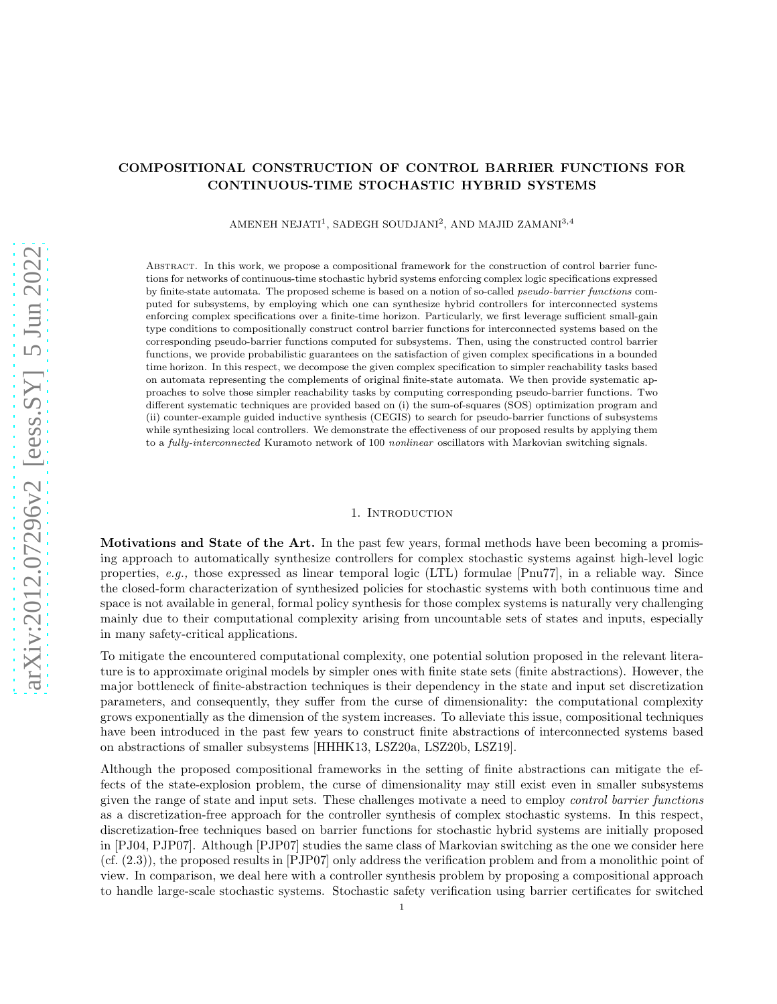# COMPOSITIONAL CONSTRUCTION OF CONTROL BARRIER FUNCTIONS FOR CONTINUOUS-TIME STOCHASTIC HYBRID SYSTEMS

AMENEH NEJATI $^1$ , SADEGH SOUDJANI $^2$ , AND MAJID ZAMANI $^{3,4}$ 

Abstract. In this work, we propose a compositional framework for the construction of control barrier functions for networks of continuous-time stochastic hybrid systems enforcing complex logic specifications expressed by finite-state automata. The proposed scheme is based on a notion of so-called pseudo-barrier functions computed for subsystems, by employing which one can synthesize hybrid controllers for interconnected systems enforcing complex specifications over a finite-time horizon. Particularly, we first leverage sufficient small-gain type conditions to compositionally construct control barrier functions for interconnected systems based on the corresponding pseudo-barrier functions computed for subsystems. Then, using the constructed control barrier functions, we provide probabilistic guarantees on the satisfaction of given complex specifications in a bounded time horizon. In this respect, we decompose the given complex specification to simpler reachability tasks based on automata representing the complements of original finite-state automata. We then provide systematic approaches to solve those simpler reachability tasks by computing corresponding pseudo-barrier functions. Two different systematic techniques are provided based on (i) the sum-of-squares (SOS) optimization program and (ii) counter-example guided inductive synthesis (CEGIS) to search for pseudo-barrier functions of subsystems while synthesizing local controllers. We demonstrate the effectiveness of our proposed results by applying them to a fully-interconnected Kuramoto network of 100 nonlinear oscillators with Markovian switching signals.

### 1. INTRODUCTION

Motivations and State of the Art. In the past few years, formal methods have been becoming a promising approach to automatically synthesize controllers for complex stochastic systems against high-level logic properties, e.g., those expressed as linear temporal logic (LTL) formulae [Pnu77], in a reliable way. Since the closed-form characterization of synthesized policies for stochastic systems with both continuous time and space is not available in general, formal policy synthesis for those complex systems is naturally very challenging mainly due to their computational complexity arising from uncountable sets of states and inputs, especially in many safety-critical applications.

To mitigate the encountered computational complexity, one potential solution proposed in the relevant literature is to approximate original models by simpler ones with finite state sets (finite abstractions). However, the major bottleneck of finite-abstraction techniques is their dependency in the state and input set discretization parameters, and consequently, they suffer from the curse of dimensionality: the computational complexity grows exponentially as the dimension of the system increases. To alleviate this issue, compositional techniques have been introduced in the past few years to construct finite abstractions of interconnected systems based on abstractions of smaller subsystems [HHHK13, LSZ20a, LSZ20b, LSZ19].

Although the proposed compositional frameworks in the setting of finite abstractions can mitigate the effects of the state-explosion problem, the curse of dimensionality may still exist even in smaller subsystems given the range of state and input sets. These challenges motivate a need to employ control barrier functions as a discretization-free approach for the controller synthesis of complex stochastic systems. In this respect, discretization-free techniques based on barrier functions for stochastic hybrid systems are initially proposed in [PJ04, PJP07]. Although [PJP07] studies the same class of Markovian switching as the one we consider here (cf. (2.3)), the proposed results in [PJP07] only address the verification problem and from a monolithic point of view. In comparison, we deal here with a controller synthesis problem by proposing a compositional approach to handle large-scale stochastic systems. Stochastic safety verification using barrier certificates for switched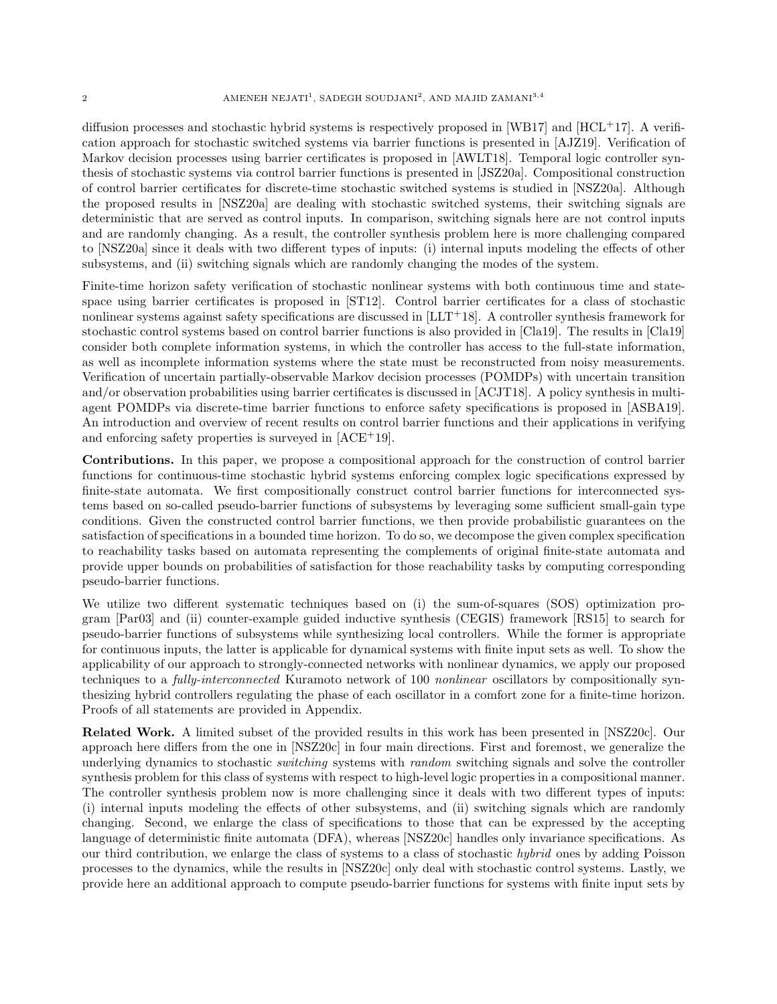diffusion processes and stochastic hybrid systems is respectively proposed in  $[WB17]$  and  $[HCL+17]$ . A verification approach for stochastic switched systems via barrier functions is presented in [AJZ19]. Verification of Markov decision processes using barrier certificates is proposed in [AWLT18]. Temporal logic controller synthesis of stochastic systems via control barrier functions is presented in [JSZ20a]. Compositional construction of control barrier certificates for discrete-time stochastic switched systems is studied in [NSZ20a]. Although the proposed results in [NSZ20a] are dealing with stochastic switched systems, their switching signals are deterministic that are served as control inputs. In comparison, switching signals here are not control inputs and are randomly changing. As a result, the controller synthesis problem here is more challenging compared to [NSZ20a] since it deals with two different types of inputs: (i) internal inputs modeling the effects of other subsystems, and (ii) switching signals which are randomly changing the modes of the system.

Finite-time horizon safety verification of stochastic nonlinear systems with both continuous time and statespace using barrier certificates is proposed in [ST12]. Control barrier certificates for a class of stochastic nonlinear systems against safety specifications are discussed in [LLT<sup>+</sup>18]. A controller synthesis framework for stochastic control systems based on control barrier functions is also provided in [Cla19]. The results in [Cla19] consider both complete information systems, in which the controller has access to the full-state information, as well as incomplete information systems where the state must be reconstructed from noisy measurements. Verification of uncertain partially-observable Markov decision processes (POMDPs) with uncertain transition and/or observation probabilities using barrier certificates is discussed in [ACJT18]. A policy synthesis in multiagent POMDPs via discrete-time barrier functions to enforce safety specifications is proposed in [ASBA19]. An introduction and overview of recent results on control barrier functions and their applications in verifying and enforcing safety properties is surveyed in [ACE<sup>+</sup>19].

Contributions. In this paper, we propose a compositional approach for the construction of control barrier functions for continuous-time stochastic hybrid systems enforcing complex logic specifications expressed by finite-state automata. We first compositionally construct control barrier functions for interconnected systems based on so-called pseudo-barrier functions of subsystems by leveraging some sufficient small-gain type conditions. Given the constructed control barrier functions, we then provide probabilistic guarantees on the satisfaction of specifications in a bounded time horizon. To do so, we decompose the given complex specification to reachability tasks based on automata representing the complements of original finite-state automata and provide upper bounds on probabilities of satisfaction for those reachability tasks by computing corresponding pseudo-barrier functions.

We utilize two different systematic techniques based on (i) the sum-of-squares (SOS) optimization program [Par03] and (ii) counter-example guided inductive synthesis (CEGIS) framework [RS15] to search for pseudo-barrier functions of subsystems while synthesizing local controllers. While the former is appropriate for continuous inputs, the latter is applicable for dynamical systems with finite input sets as well. To show the applicability of our approach to strongly-connected networks with nonlinear dynamics, we apply our proposed techniques to a *fully-interconnected* Kuramoto network of 100 *nonlinear* oscillators by compositionally synthesizing hybrid controllers regulating the phase of each oscillator in a comfort zone for a finite-time horizon. Proofs of all statements are provided in Appendix.

Related Work. A limited subset of the provided results in this work has been presented in [NSZ20c]. Our approach here differs from the one in [NSZ20c] in four main directions. First and foremost, we generalize the underlying dynamics to stochastic *switching* systems with *random* switching signals and solve the controller synthesis problem for this class of systems with respect to high-level logic properties in a compositional manner. The controller synthesis problem now is more challenging since it deals with two different types of inputs: (i) internal inputs modeling the effects of other subsystems, and (ii) switching signals which are randomly changing. Second, we enlarge the class of specifications to those that can be expressed by the accepting language of deterministic finite automata (DFA), whereas [NSZ20c] handles only invariance specifications. As our third contribution, we enlarge the class of systems to a class of stochastic hybrid ones by adding Poisson processes to the dynamics, while the results in [NSZ20c] only deal with stochastic control systems. Lastly, we provide here an additional approach to compute pseudo-barrier functions for systems with finite input sets by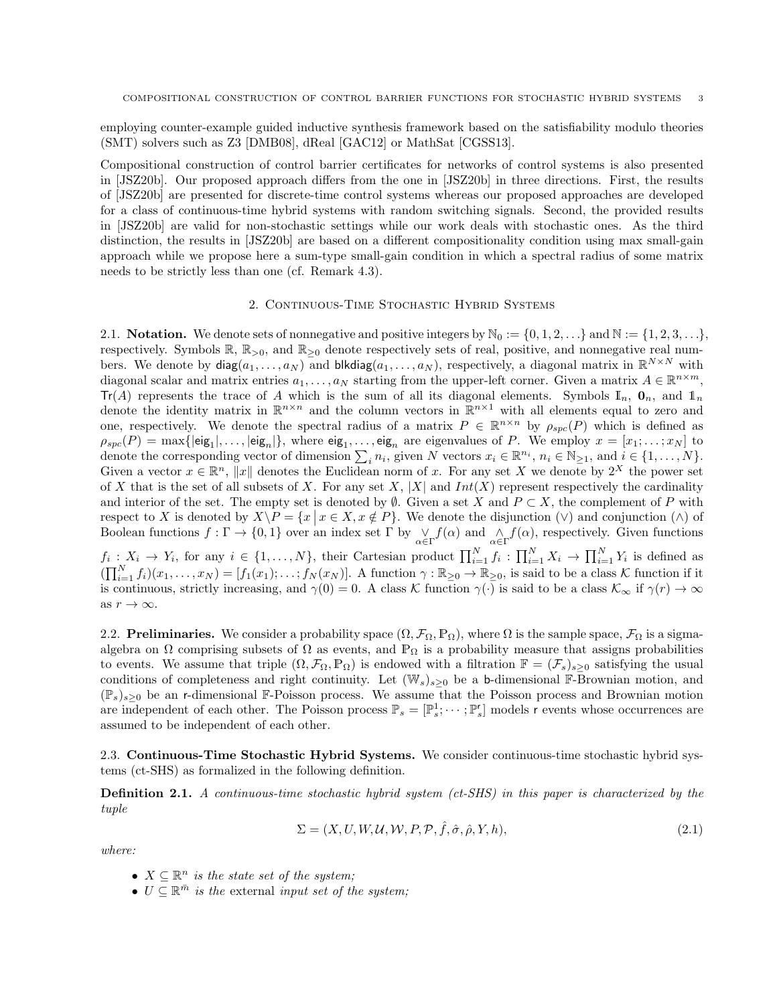employing counter-example guided inductive synthesis framework based on the satisfiability modulo theories (SMT) solvers such as Z3 [DMB08], dReal [GAC12] or MathSat [CGSS13].

Compositional construction of control barrier certificates for networks of control systems is also presented in [JSZ20b]. Our proposed approach differs from the one in [JSZ20b] in three directions. First, the results of [JSZ20b] are presented for discrete-time control systems whereas our proposed approaches are developed for a class of continuous-time hybrid systems with random switching signals. Second, the provided results in [JSZ20b] are valid for non-stochastic settings while our work deals with stochastic ones. As the third distinction, the results in [JSZ20b] are based on a different compositionality condition using max small-gain approach while we propose here a sum-type small-gain condition in which a spectral radius of some matrix needs to be strictly less than one (cf. Remark 4.3).

### 2. Continuous-Time Stochastic Hybrid Systems

2.1. Notation. We denote sets of nonnegative and positive integers by  $\mathbb{N}_0 := \{0, 1, 2, \ldots\}$  and  $\mathbb{N} := \{1, 2, 3, \ldots\}$ , respectively. Symbols  $\mathbb{R}, \mathbb{R}_{>0}$ , and  $\mathbb{R}_{>0}$  denote respectively sets of real, positive, and nonnegative real numbers. We denote by  $\textsf{diag}(a_1,\ldots,a_N)$  and  $\textsf{blkdiag}(a_1,\ldots,a_N)$ , respectively, a diagonal matrix in  $\mathbb{R}^{N\times N}$  with diagonal scalar and matrix entries  $a_1, \ldots, a_N$  starting from the upper-left corner. Given a matrix  $A \in \mathbb{R}^{n \times m}$ ,  $Tr(A)$  represents the trace of A which is the sum of all its diagonal elements. Symbols  $\mathbb{I}_n$ ,  $\mathbf{0}_n$ , and  $\mathbf{1}_n$ denote the identity matrix in  $\mathbb{R}^{n \times n}$  and the column vectors in  $\mathbb{R}^{n \times 1}$  with all elements equal to zero and one, respectively. We denote the spectral radius of a matrix  $P \in \mathbb{R}^{n \times n}$  by  $\rho_{spc}(P)$  which is defined as  $\rho_{spe}(P) = \max\{|{\sf eig}_1|, \ldots, |{\sf eig}_n|\},\$  where  ${\sf eig}_1, \ldots, {\sf eig}_n$  are eigenvalues of P. We employ  $x = [x_1, \ldots, x_N]$  to denote the corresponding vector of dimension  $\sum_i n_i$ , given N vectors  $x_i \in \mathbb{R}^{n_i}$ ,  $n_i \in \mathbb{N}_{\geq 1}$ , and  $i \in \{1, ..., N\}$ . Given a vector  $x \in \mathbb{R}^n$ ,  $||x||$  denotes the Euclidean norm of x. For any set X we denote by  $2^X$  the power set of X that is the set of all subsets of X. For any set X, |X| and  $Int(X)$  represent respectively the cardinality and interior of the set. The empty set is denoted by  $\emptyset$ . Given a set X and  $P \subset X$ , the complement of P with respect to X is denoted by  $X\backslash P = \{x \mid x \in X, x \notin P\}$ . We denote the disjunction  $(\vee)$  and conjunction  $(\wedge)$  of Boolean functions  $f: \Gamma \to \{0,1\}$  over an index set  $\Gamma$  by  $\bigvee_{\alpha \in \Gamma} f(\alpha)$  and  $\bigwedge_{\alpha \in \Gamma} f(\alpha)$ , respectively. Given functions  $f_i: X_i \to Y_i$ , for any  $i \in \{1, ..., N\}$ , their Cartesian product  $\prod_{i=1}^N f_i: \prod_{i=1}^N X_i \to \prod_{i=1}^N Y_i$  is defined as  $(\prod_{i=1}^N f_i)(x_1,\ldots,x_N) = [f_1(x_1);\ldots;f_N(x_N)].$  A function  $\gamma : \mathbb{R}_{\geq 0} \to \mathbb{R}_{\geq 0}$ , is said to be a class K function if it is continuous, strictly increasing, and  $\gamma(0) = 0$ . A class K function  $\gamma(\cdot)$  is said to be a class  $\mathcal{K}_{\infty}$  if  $\gamma(r) \to \infty$ 

as  $r\to\infty.$ 

2.2. Preliminaries. We consider a probability space  $(\Omega, \mathcal{F}_{\Omega}, \mathbb{P}_{\Omega})$ , where  $\Omega$  is the sample space,  $\mathcal{F}_{\Omega}$  is a sigmaalgebra on  $\Omega$  comprising subsets of  $\Omega$  as events, and  $\mathbb{P}_{\Omega}$  is a probability measure that assigns probabilities to events. We assume that triple  $(\Omega, \mathcal{F}_{\Omega}, \mathbb{P}_{\Omega})$  is endowed with a filtration  $\mathbb{F} = (\mathcal{F}_s)_{s>0}$  satisfying the usual conditions of completeness and right continuity. Let  $(\mathbb{W}_s)_{s>0}$  be a b-dimensional F-Brownian motion, and  $(\mathbb{P}_s)_{s>0}$  be an r-dimensional F-Poisson process. We assume that the Poisson process and Brownian motion are independent of each other. The Poisson process  $\mathbb{P}_s = [\mathbb{P}_s^1; \cdots; \mathbb{P}_s^r]$  models r events whose occurrences are assumed to be independent of each other.

2.3. Continuous-Time Stochastic Hybrid Systems. We consider continuous-time stochastic hybrid systems (ct-SHS) as formalized in the following definition.

**Definition 2.1.** A continuous-time stochastic hybrid system (ct-SHS) in this paper is characterized by the tuple

$$
\Sigma = (X, U, W, \mathcal{U}, W, P, \mathcal{P}, \hat{f}, \hat{\sigma}, \hat{\rho}, Y, h),
$$
\n(2.1)

where:

- $X \subseteq \mathbb{R}^n$  is the state set of the system;
- $U \subseteq \mathbb{R}^{\bar{m}}$  is the external input set of the system;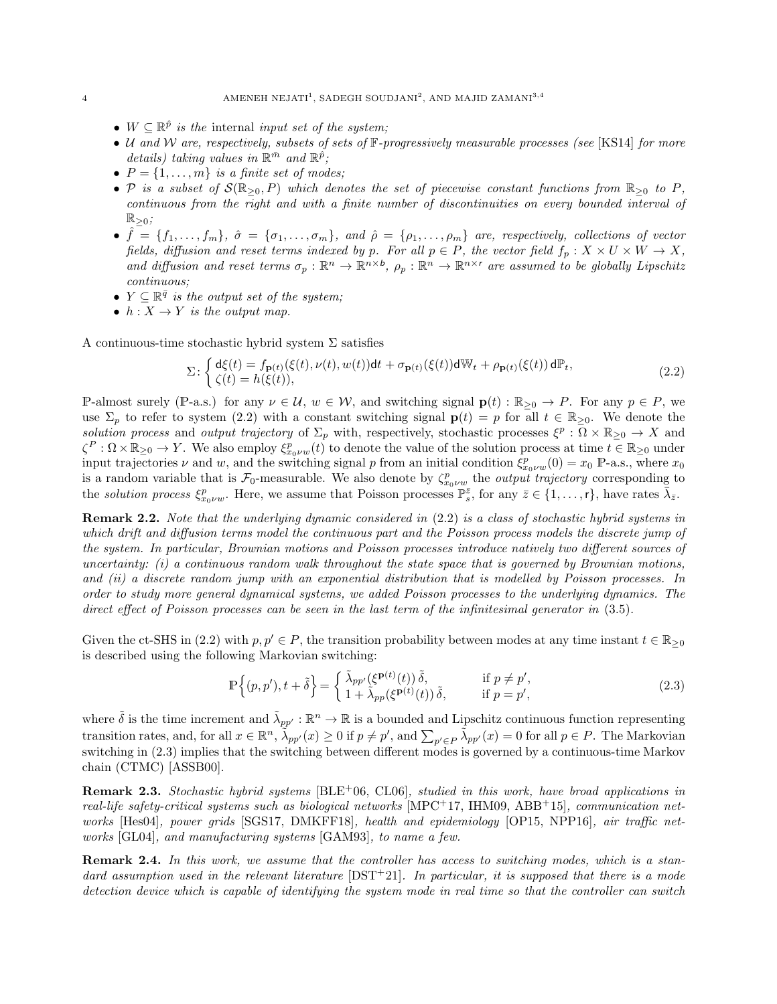- $W \subseteq \mathbb{R}^{\hat{p}}$  is the internal input set of the system;
- U and W are, respectively, subsets of sets of  $\mathbb{F}$ -progressively measurable processes (see [KS14] for more details) taking values in  $\mathbb{R}^{\bar{m}}$  and  $\mathbb{R}^{\hat{p}}$ ;
- $P = \{1, \ldots, m\}$  is a finite set of modes;
- P is a subset of  $\mathcal{S}(\mathbb{R}_{\geq 0}, P)$  which denotes the set of piecewise constant functions from  $\mathbb{R}_{\geq 0}$  to P, continuous from the right and with a finite number of discontinuities on every bounded interval of  $\mathbb{R}_{\geq 0}$ ;
- $\hat{f} = \{f_1, \ldots, f_m\}, \; \hat{\sigma} = \{\sigma_1, \ldots, \sigma_m\}, \; \text{and} \; \hat{\rho} = \{\rho_1, \ldots, \rho_m\} \; \text{are}, \; \text{respectively, collections of vector}$ fields, diffusion and reset terms indexed by p. For all  $p \in P$ , the vector field  $f_p: X \times U \times W \to X$ , and diffusion and reset terms  $\sigma_p : \mathbb{R}^n \to \mathbb{R}^{n \times b}$ ,  $\rho_p : \mathbb{R}^n \to \mathbb{R}^{n \times r}$  are assumed to be globally Lipschitz continuous;
- $Y \subseteq \mathbb{R}^{\bar{q}}$  is the output set of the system;
- $h: X \to Y$  is the output map.

A continuous-time stochastic hybrid system  $\Sigma$  satisfies

$$
\Sigma: \begin{cases} \mathsf{d}\xi(t) = f_{\mathbf{p}(t)}(\xi(t), \nu(t), w(t)) \mathsf{d}t + \sigma_{\mathbf{p}(t)}(\xi(t)) \mathsf{d}\mathbb{W}_t + \rho_{\mathbf{p}(t)}(\xi(t)) \mathsf{d}\mathbb{P}_t, \\ \zeta(t) = h(\xi(t)), \end{cases} \tag{2.2}
$$

P-almost surely (P-a.s.) for any  $\nu \in \mathcal{U}$ ,  $w \in \mathcal{W}$ , and switching signal  $\mathbf{p}(t) : \mathbb{R}_{\geq 0} \to P$ . For any  $p \in P$ , we use  $\Sigma_p$  to refer to system (2.2) with a constant switching signal  $p(t) = p$  for all  $t \in \mathbb{R}_{\geq 0}$ . We denote the solution process and output trajectory of  $\Sigma_p$  with, respectively, stochastic processes  $\xi^p : \overline{\Omega} \times \mathbb{R}_{\geq 0} \to X$  and  $\zeta^P : \Omega \times \mathbb{R}_{\geq 0} \to Y$ . We also employ  $\xi^p_{x_0 \nu w}(t)$  to denote the value of the solution process at time  $t \in \mathbb{R}_{\geq 0}$  under input trajectories  $\nu$  and  $w$ , and the switching signal p from an initial condition  $\xi_{x_0\nu w}^p(0) = x_0 \; \mathbb{P}$ -a.s., where  $x_0$ is a random variable that is  $\mathcal{F}_0$ -measurable. We also denote by  $\zeta_{x_0 \nu w}^p$  the *output trajectory* corresponding to the solution process  $\xi_{x_0\nu w}^p$ . Here, we assume that Poisson processes  $\mathbb{P}_{s}^{\bar{z}}$ , for any  $\bar{z} \in \{1, \ldots, r\}$ , have rates  $\bar{\lambda}_{\bar{z}}$ .

**Remark 2.2.** Note that the underlying dynamic considered in  $(2.2)$  is a class of stochastic hybrid systems in which drift and diffusion terms model the continuous part and the Poisson process models the discrete jump of the system. In particular, Brownian motions and Poisson processes introduce natively two different sources of uncertainty:  $(i)$  a continuous random walk throughout the state space that is governed by Brownian motions, and (ii) a discrete random jump with an exponential distribution that is modelled by Poisson processes. In order to study more general dynamical systems, we added Poisson processes to the underlying dynamics. The direct effect of Poisson processes can be seen in the last term of the infinitesimal generator in  $(3.5)$ .

Given the ct-SHS in (2.2) with  $p, p' \in P$ , the transition probability between modes at any time instant  $t \in \mathbb{R}_{\geq 0}$ is described using the following Markovian switching:

$$
\mathbb{P}\left\{(p,p'),t+\tilde{\delta}\right\} = \begin{cases} \tilde{\lambda}_{pp'}(\xi^{\mathbf{p}(t)}(t))\,\tilde{\delta}, & \text{if } p \neq p',\\ 1+\tilde{\lambda}_{pp}(\xi^{\mathbf{p}(t)}(t))\,\tilde{\delta}, & \text{if } p = p', \end{cases} \tag{2.3}
$$

where  $\tilde{\delta}$  is the time increment and  $\tilde{\lambda}_{pp'} : \mathbb{R}^n \to \mathbb{R}$  is a bounded and Lipschitz continuous function representing transition rates, and, for all  $x \in \mathbb{R}^n$ ,  $\tilde{\lambda}_{pp'}(x) \ge 0$  if  $p \ne p'$ , and  $\sum_{p' \in P} \tilde{\lambda}_{pp'}(x) = 0$  for all  $p \in P$ . The Markovian switching in (2.3) implies that the switching between different modes is governed by a continuous-time Markov chain (CTMC) [ASSB00].

**Remark 2.3.** Stochastic hybrid systems  $[BLE^+06, CL06]$ , studied in this work, have broad applications in real-life safety-critical systems such as biological networks  $[MPC^+17, HM09, ABB^+15]$ , communication networks [Hes04], power grids [SGS17, DMKFF18], health and epidemiology [OP15, NPP16], air traffic networks [GL04], and manufacturing systems [GAM93], to name a few.

Remark 2.4. In this work, we assume that the controller has access to switching modes, which is a standard assumption used in the relevant literature  $[DT+21]$ . In particular, it is supposed that there is a mode detection device which is capable of identifying the system mode in real time so that the controller can switch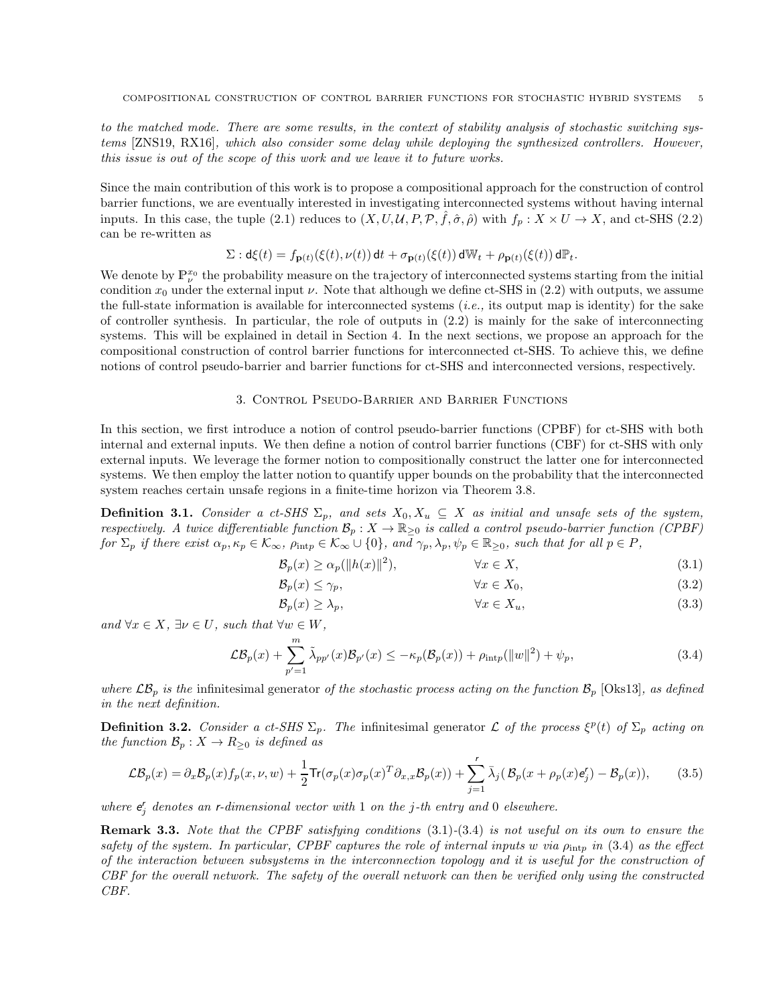to the matched mode. There are some results, in the context of stability analysis of stochastic switching systems [ZNS19, RX16], which also consider some delay while deploying the synthesized controllers. However, this issue is out of the scope of this work and we leave it to future works.

Since the main contribution of this work is to propose a compositional approach for the construction of control barrier functions, we are eventually interested in investigating interconnected systems without having internal inputs. In this case, the tuple (2.1) reduces to  $(X, U, \mathcal{U}, P, \mathcal{P}, \hat{f}, \hat{\sigma}, \hat{\rho})$  with  $f_p: X \times U \to X$ , and ct-SHS (2.2) can be re-written as

$$
\Sigma : \mathrm{d}\xi(t) = f_{\mathbf{p}(t)}(\xi(t), \nu(t)) \, \mathrm{d}t + \sigma_{\mathbf{p}(t)}(\xi(t)) \, \mathrm{d}\mathbb{W}_t + \rho_{\mathbf{p}(t)}(\xi(t)) \, \mathrm{d}\mathbb{P}_t.
$$

We denote by  $\mathbb{P}^{x_0}_{\nu}$  the probability measure on the trajectory of interconnected systems starting from the initial condition  $x_0$  under the external input  $\nu$ . Note that although we define ct-SHS in (2.2) with outputs, we assume the full-state information is available for interconnected systems (i.e., its output map is identity) for the sake of controller synthesis. In particular, the role of outputs in (2.2) is mainly for the sake of interconnecting systems. This will be explained in detail in Section 4. In the next sections, we propose an approach for the compositional construction of control barrier functions for interconnected ct-SHS. To achieve this, we define notions of control pseudo-barrier and barrier functions for ct-SHS and interconnected versions, respectively.

#### 3. Control Pseudo-Barrier and Barrier Functions

In this section, we first introduce a notion of control pseudo-barrier functions (CPBF) for ct-SHS with both internal and external inputs. We then define a notion of control barrier functions (CBF) for ct-SHS with only external inputs. We leverage the former notion to compositionally construct the latter one for interconnected systems. We then employ the latter notion to quantify upper bounds on the probability that the interconnected system reaches certain unsafe regions in a finite-time horizon via Theorem 3.8.

**Definition 3.1.** Consider a ct-SHS  $\Sigma_p$ , and sets  $X_0, X_u \subseteq X$  as initial and unsafe sets of the system, respectively. A twice differentiable function  $\mathcal{B}_p: X \to \mathbb{R}_{\geq 0}$  is called a control pseudo-barrier function (CPBF) for  $\Sigma_p$  if there exist  $\alpha_p, \kappa_p \in \mathcal{K}_{\infty}$ ,  $\rho_{\text{int}p} \in \mathcal{K}_{\infty} \cup \{0\}$ , and  $\gamma_p, \lambda_p, \psi_p \in \mathbb{R}_{\geq 0}$ , such that for all  $p \in P$ ,

$$
\mathcal{B}_p(x) \ge \alpha_p(\|h(x)\|^2), \qquad \forall x \in X,\tag{3.1}
$$

$$
\mathcal{B}_p(x) \le \gamma_p,\qquad \qquad \forall x \in X_0,\tag{3.2}
$$

$$
\mathcal{B}_p(x) \ge \lambda_p,\qquad \qquad \forall x \in X_u,\tag{3.3}
$$

and  $\forall x \in X$ ,  $\exists \nu \in U$ , such that  $\forall w \in W$ ,

$$
\mathcal{LB}_p(x) + \sum_{p'=1}^m \tilde{\lambda}_{pp'}(x) \mathcal{B}_{p'}(x) \le -\kappa_p(\mathcal{B}_p(x)) + \rho_{\text{int}p}(\|w\|^2) + \psi_p,\tag{3.4}
$$

where  $\mathcal{LB}_p$  is the infinitesimal generator of the stochastic process acting on the function  $\mathcal{B}_p$  [Oks13], as defined in the next definition.

**Definition 3.2.** Consider a ct-SHS  $\Sigma_p$ . The infinitesimal generator L of the process  $\xi^p(t)$  of  $\Sigma_p$  acting on the function  $\mathcal{B}_p : X \to R_{\geq 0}$  is defined as

$$
\mathcal{LB}_p(x) = \partial_x \mathcal{B}_p(x) f_p(x, \nu, w) + \frac{1}{2} \text{Tr}(\sigma_p(x) \sigma_p(x)^T \partial_{x,x} \mathcal{B}_p(x)) + \sum_{j=1}^r \bar{\lambda}_j (\mathcal{B}_p(x + \rho_p(x) \mathbf{e}_j' - \mathcal{B}_p(x)), \quad (3.5)
$$

where  $e'_{j}$  denotes an r-dimensional vector with 1 on the j-th entry and 0 elsewhere.

**Remark 3.3.** Note that the CPBF satisfying conditions  $(3.1)-(3.4)$  is not useful on its own to ensure the safety of the system. In particular, CPBF captures the role of internal inputs w via  $\rho_{\rm intr}$  in (3.4) as the effect of the interaction between subsystems in the interconnection topology and it is useful for the construction of CBF for the overall network. The safety of the overall network can then be verified only using the constructed CBF.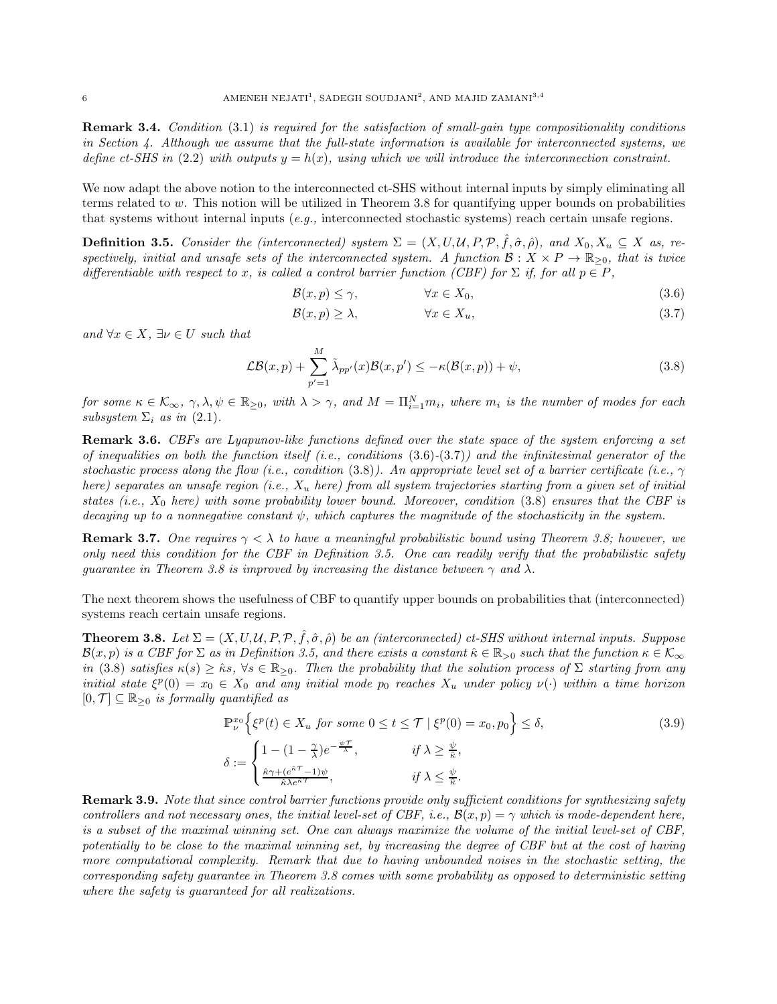**Remark 3.4.** Condition (3.1) is required for the satisfaction of small-gain type compositionality conditions in Section 4. Although we assume that the full-state information is available for interconnected systems, we define ct-SHS in (2.2) with outputs  $y = h(x)$ , using which we will introduce the interconnection constraint.

We now adapt the above notion to the interconnected ct-SHS without internal inputs by simply eliminating all terms related to w. This notion will be utilized in Theorem 3.8 for quantifying upper bounds on probabilities that systems without internal inputs  $(e.q.,$  interconnected stochastic systems) reach certain unsafe regions.

**Definition 3.5.** Consider the (interconnected) system  $\Sigma = (X, U, U, P, P, \hat{f}, \hat{\sigma}, \hat{\rho})$ , and  $X_0, X_u \subseteq X$  as, respectively, initial and unsafe sets of the interconnected system. A function  $\mathcal{B}: X \times P \to \mathbb{R}_{\geq 0}$ , that is twice differentiable with respect to x, is called a control barrier function (CBF) for  $\Sigma$  if, for all  $p \in P$ ,

$$
\mathcal{B}(x, p) \le \gamma, \qquad \forall x \in X_0,\tag{3.6}
$$

$$
\mathcal{B}(x, p) \ge \lambda, \qquad \forall x \in X_u, \tag{3.7}
$$

and  $\forall x \in X$ ,  $\exists \nu \in U$  such that

$$
\mathcal{LB}(x,p) + \sum_{p'=1}^{M} \tilde{\lambda}_{pp'}(x)\mathcal{B}(x,p') \le -\kappa(\mathcal{B}(x,p)) + \psi,
$$
\n(3.8)

for some  $\kappa \in \mathcal{K}_{\infty}$ ,  $\gamma, \lambda, \psi \in \mathbb{R}_{\geq 0}$ , with  $\lambda > \gamma$ , and  $M = \Pi_{i=1}^N m_i$ , where  $m_i$  is the number of modes for each subsystem  $\Sigma_i$  as in (2.1).

Remark 3.6. CBFs are Lyapunov-like functions defined over the state space of the system enforcing a set of inequalities on both the function itself (i.e., conditions  $(3.6)-(3.7)$ ) and the infinitesimal generator of the stochastic process along the flow (i.e., condition (3.8)). An appropriate level set of a barrier certificate (i.e.,  $\gamma$ here) separates an unsafe region (i.e.,  $X_u$  here) from all system trajectories starting from a given set of initial states (i.e.,  $X_0$  here) with some probability lower bound. Moreover, condition (3.8) ensures that the CBF is decaying up to a nonnegative constant  $\psi$ , which captures the magnitude of the stochasticity in the system.

**Remark 3.7.** One requires  $\gamma < \lambda$  to have a meaningful probabilistic bound using Theorem 3.8; however, we only need this condition for the CBF in Definition 3.5. One can readily verify that the probabilistic safety quarantee in Theorem 3.8 is improved by increasing the distance between  $\gamma$  and  $\lambda$ .

The next theorem shows the usefulness of CBF to quantify upper bounds on probabilities that (interconnected) systems reach certain unsafe regions.

**Theorem 3.8.** Let  $\Sigma = (X, U, U, P, P, \hat{f}, \hat{\sigma}, \hat{\rho})$  be an (interconnected) ct-SHS without internal inputs. Suppose  $\mathcal{B}(x,p)$  is a CBF for  $\Sigma$  as in Definition 3.5, and there exists a constant  $\hat{\kappa} \in \mathbb{R}_{>0}$  such that the function  $\kappa \in \mathcal{K}_{\infty}$ in (3.8) satisfies  $\kappa(s) \geq \hat{\kappa} s$ ,  $\forall s \in \mathbb{R}_{\geq 0}$ . Then the probability that the solution process of  $\Sigma$  starting from any initial state  $\xi^p(0) = x_0 \in X_0$  and any initial mode  $p_0$  reaches  $X_u$  under policy  $\nu(\cdot)$  within a time horizon  $[0, \mathcal{T}] \subseteq \mathbb{R}_{\geq 0}$  is formally quantified as

$$
\mathbb{P}^{x_0}_{\nu} \left\{ \xi^p(t) \in X_u \text{ for some } 0 \le t \le \mathcal{T} \mid \xi^p(0) = x_0, p_0 \right\} \le \delta,
$$
\n
$$
\delta := \begin{cases}\n1 - (1 - \frac{\gamma}{\lambda})e^{-\frac{\psi \mathcal{T}}{\lambda}}, & \text{if } \lambda \ge \frac{\psi}{\hat{\kappa}}, \\
\frac{\hat{\kappa}\gamma + (e^{\hat{\kappa}\mathcal{T}} - 1)\psi}{\hat{\kappa}\lambda e^{\hat{\kappa}\mathcal{T}}}, & \text{if } \lambda \le \frac{\psi}{\hat{\kappa}}.\n\end{cases}
$$
\n(3.9)

**Remark 3.9.** Note that since control barrier functions provide only sufficient conditions for synthesizing safety controllers and not necessary ones, the initial level-set of CBF, i.e.,  $\mathcal{B}(x,p) = \gamma$  which is mode-dependent here, is a subset of the maximal winning set. One can always maximize the volume of the initial level-set of CBF, potentially to be close to the maximal winning set, by increasing the degree of CBF but at the cost of having more computational complexity. Remark that due to having unbounded noises in the stochastic setting, the corresponding safety guarantee in Theorem 3.8 comes with some probability as opposed to deterministic setting where the safety is guaranteed for all realizations.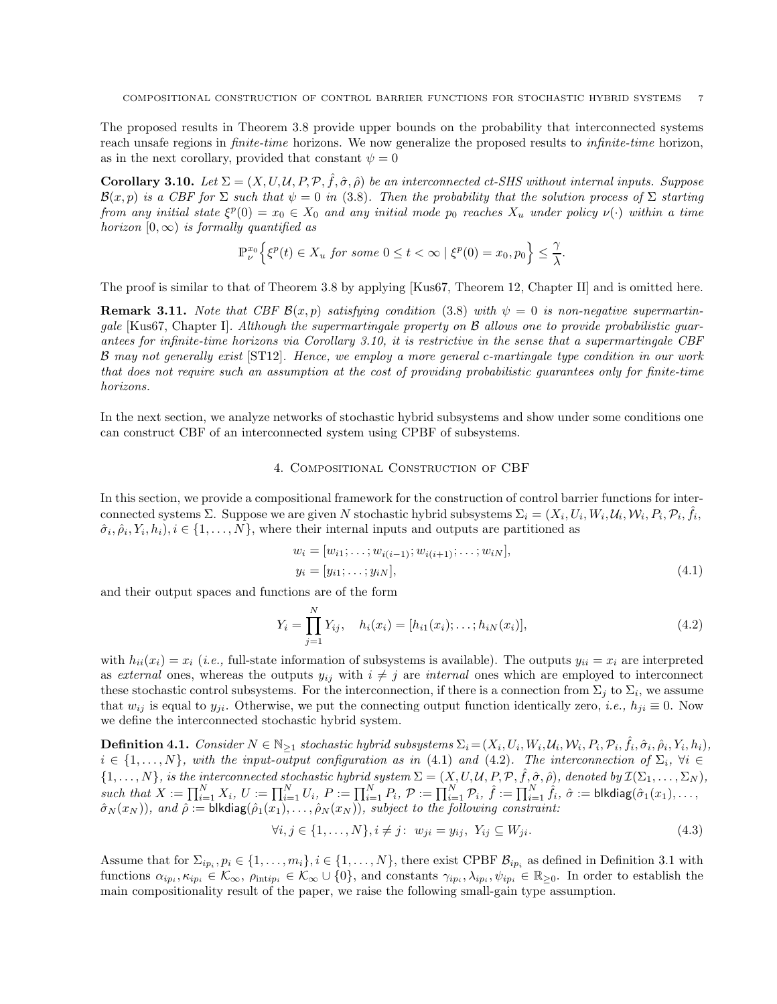The proposed results in Theorem 3.8 provide upper bounds on the probability that interconnected systems reach unsafe regions in *finite-time* horizons. We now generalize the proposed results to *infinite-time* horizon, as in the next corollary, provided that constant  $\psi = 0$ 

Corollary 3.10. Let  $\Sigma = (X, U, \mathcal{U}, P, \mathcal{P}, \hat{f}, \hat{\sigma}, \hat{\rho})$  be an interconnected ct-SHS without internal inputs. Suppose  $\mathcal{B}(x,p)$  is a CBF for  $\Sigma$  such that  $\psi = 0$  in (3.8). Then the probability that the solution process of  $\Sigma$  starting from any initial state  $\xi^p(0) = x_0 \in X_0$  and any initial mode  $p_0$  reaches  $X_u$  under policy  $\nu(\cdot)$  within a time horizon  $[0, \infty)$  is formally quantified as

$$
\mathbb{P}^{x_0}_\nu\Big\{\xi^p(t)\in X_u\text{ for some }0\le t<\infty\mid\xi^p(0)=x_0,p_0\Big\}\le \frac{\gamma}{\lambda}.
$$

The proof is similar to that of Theorem 3.8 by applying [Kus67, Theorem 12, Chapter II] and is omitted here.

**Remark 3.11.** Note that CBF  $\mathcal{B}(x, p)$  satisfying condition (3.8) with  $\psi = 0$  is non-negative supermartingale [Kus67, Chapter I]. Although the supermartingale property on B allows one to provide probabilistic guarantees for infinite-time horizons via Corollary 3.10, it is restrictive in the sense that a supermartingale CBF B may not generally exist [ST12]. Hence, we employ a more general c-martingale type condition in our work that does not require such an assumption at the cost of providing probabilistic guarantees only for finite-time horizons.

In the next section, we analyze networks of stochastic hybrid subsystems and show under some conditions one can construct CBF of an interconnected system using CPBF of subsystems.

### 4. Compositional Construction of CBF

In this section, we provide a compositional framework for the construction of control barrier functions for interconnected systems  $\Sigma$ . Suppose we are given N stochastic hybrid subsystems  $\Sigma_i = (X_i, U_i, W_i, \mathcal{U}_i, W_i, P_i, \hat{\mathcal{P}}_i, \hat{f}_i, \hat{f}_i, \hat{f}_i, \hat{f}_i, \hat{f}_i, \hat{f}_i, \hat{f}_i, \hat{f}_i, \hat{f}_i, \hat{f}_i, \hat{f}_i, \hat{f}_i, \hat{f}_i, \hat{f}_i, \hat{f}_i,$  $(\hat{\sigma}_i, \hat{\rho}_i, Y_i, h_i), i \in \{1, \ldots, N\}$ , where their internal inputs and outputs are partitioned as

$$
w_i = [w_{i1}; \dots; w_{i(i-1)}; w_{i(i+1)}; \dots; w_{iN}],
$$
  
\n
$$
y_i = [y_{i1}; \dots; y_{iN}],
$$
\n(4.1)

and their output spaces and functions are of the form

$$
Y_i = \prod_{j=1}^{N} Y_{ij}, \quad h_i(x_i) = [h_{i1}(x_i); \dots; h_{iN}(x_i)], \tag{4.2}
$$

with  $h_{ii}(x_i) = x_i$  (i.e., full-state information of subsystems is available). The outputs  $y_{ii} = x_i$  are interpreted as external ones, whereas the outputs  $y_{ij}$  with  $i \neq j$  are internal ones which are employed to interconnect these stochastic control subsystems. For the interconnection, if there is a connection from  $\Sigma_j$  to  $\Sigma_i$ , we assume that  $w_{ij}$  is equal to  $y_{ji}$ . Otherwise, we put the connecting output function identically zero, *i.e.*,  $h_{ji} \equiv 0$ . Now we define the interconnected stochastic hybrid system.

**Definition 4.1.** Consider  $N \in \mathbb{N}_{\geq 1}$  stochastic hybrid subsystems  $\Sigma_i = (X_i, U_i, W_i, U_i, W_i, P_i, \mathcal{P}_i, \hat{f}_i, \hat{\sigma}_i, \hat{\rho}_i, Y_i, h_i)$ ,  $i \in \{1,\ldots,N\}$ , with the input-output configuration as in (4.1) and (4.2). The interconnection of  $\Sigma_i$ ,  $\forall i \in$  $\{1,\ldots,N\}$ , is the interconnected stochastic hybrid system  $\Sigma = (X,U,\mathcal{U},P,\mathcal{P},\hat{f},\hat{\sigma},\hat{\rho})$ , denoted by  $\mathcal{I}(\Sigma_1,\ldots,\Sigma_N)$ ,  $\textit{such that } X := \prod_{i=1}^N X_i, \ U := \prod_{i=1}^N U_i, \ P := \prod_{i=1}^N P_i, \ \mathcal{P} := \prod_{i=1}^N \mathcal{P}_i, \ \hat{f} := \prod_{i=1}^N \hat{f}_i, \ \hat{\sigma} := \mathsf{blkdiag}(\hat{\sigma}_1(x_1), \dots, \hat{\sigma}_N(x_n))$  $\hat{\sigma}_N(x_N)),$  and  $\hat{\rho}:=\textsf{blkdiag}(\hat{\rho}_1(x_1),\ldots,\hat{\rho}_N(x_N)),$  subject to the following constraint:

$$
\forall i, j \in \{1, ..., N\}, i \neq j: \ w_{ji} = y_{ij}, \ Y_{ij} \subseteq W_{ji}.
$$
\n(4.3)

Assume that for  $\Sigma_{ip_i}, p_i \in \{1, \ldots, m_i\}, i \in \{1, \ldots, N\}$ , there exist CPBF  $\mathcal{B}_{ip_i}$  as defined in Definition 3.1 with functions  $\alpha_{ip_i}, \kappa_{ip_i} \in \mathcal{K}_{\infty}$ ,  $\rho_{\text{intip}_i} \in \mathcal{K}_{\infty} \cup \{0\}$ , and constants  $\gamma_{ip_i}, \lambda_{ip_i}, \psi_{ip_i} \in \mathbb{R}_{\geq 0}$ . In order to establish the main compositionality result of the paper, we raise the following small-gain type assumption.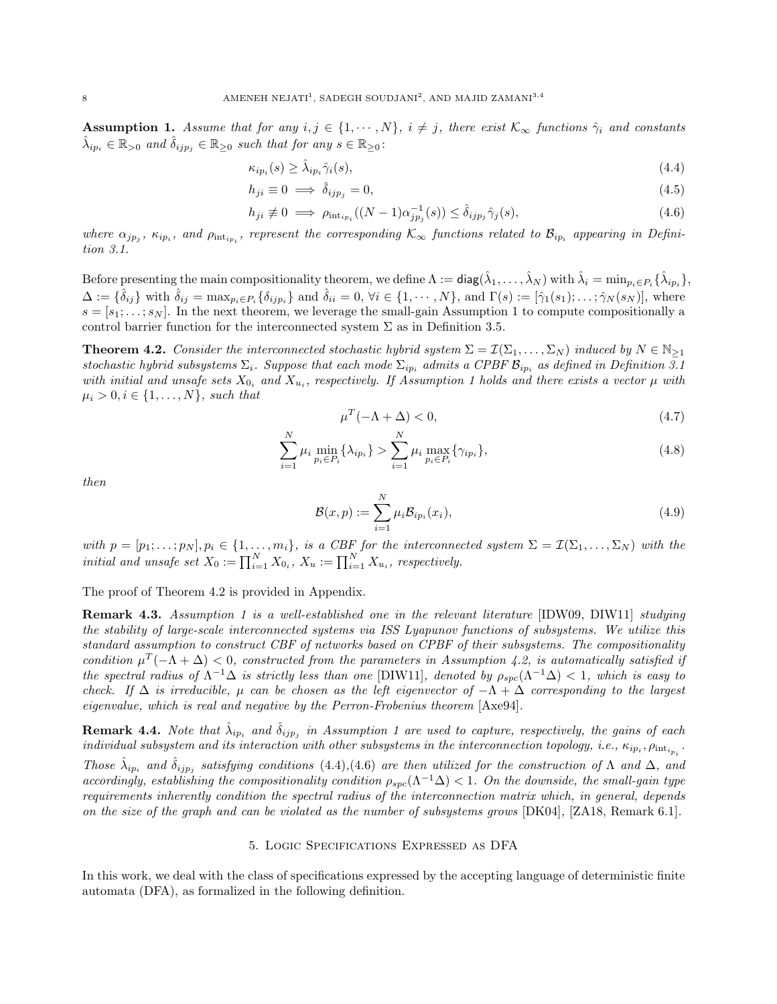**Assumption 1.** Assume that for any  $i, j \in \{1, \dots, N\}$ ,  $i \neq j$ , there exist  $\mathcal{K}_{\infty}$  functions  $\hat{\gamma}_i$  and constants  $\hat{\lambda}_{ip_i} \in \mathbb{R}_{>0}$  and  $\hat{\delta}_{ijp_j} \in \mathbb{R}_{\geq 0}$  such that for any  $s \in \mathbb{R}_{\geq 0}$ :

$$
\kappa_{ip_i}(s) \ge \hat{\lambda}_{ip_i} \hat{\gamma}_i(s),\tag{4.4}
$$

$$
h_{ji} \equiv 0 \implies \hat{\delta}_{ijp_j} = 0,\tag{4.5}
$$

$$
h_{ji} \neq 0 \implies \rho_{\text{int}_{ip_i}}((N-1)\alpha_{jp_j}^{-1}(s)) \leq \hat{\delta}_{ijp_j}\hat{\gamma}_j(s), \tag{4.6}
$$

where  $\alpha_{jp_j}$ ,  $\kappa_{ip_i}$ , and  $\rho_{\text{int}_{ip_i}}$ , represent the corresponding  $\mathcal{K}_{\infty}$  functions related to  $\mathcal{B}_{ip_i}$  appearing in Definition 3.1.

Before presenting the main compositionality theorem, we define  $\Lambda := \mathsf{diag}(\hat{\lambda}_1,\ldots,\hat{\lambda}_N)$  with  $\hat{\lambda}_i = \min_{p_i \in P_i} \{\hat{\lambda}_{ip_i}\},$  $\Delta := {\hat{\delta}_{ij}}$  with  $\hat{\delta}_{ij} = \max_{p_i \in P_i} {\{\delta_{ijp_i}\}}$  and  $\hat{\delta}_{ii} = 0, \forall i \in \{1, \cdots, N\}$ , and  $\Gamma(s) := [\hat{\gamma}_1(s_1); \ldots; \hat{\gamma}_N(s_N)],$  where  $s = [s_1; \ldots; s_N]$ . In the next theorem, we leverage the small-gain Assumption 1 to compute compositionally a control barrier function for the interconnected system  $\Sigma$  as in Definition 3.5.

**Theorem 4.2.** Consider the interconnected stochastic hybrid system  $\Sigma = \mathcal{I}(\Sigma_1, \dots, \Sigma_N)$  induced by  $N \in \mathbb{N}_{\geq 1}$ stochastic hybrid subsystems  $\Sigma_i$ . Suppose that each mode  $\Sigma_{ip_i}$  admits a CPBF  $\mathcal{B}_{ip_i}$  as defined in Definition 3.1 with initial and unsafe sets  $X_{0_i}$  and  $X_{u_i}$ , respectively. If Assumption 1 holds and there exists a vector  $\mu$  with  $\mu_i > 0, i \in \{1, ..., N\}, \text{ such that}$ 

$$
\mu^T(-\Lambda + \Delta) < 0,\tag{4.7}
$$

$$
\sum_{i=1}^{N} \mu_i \min_{p_i \in P_i} \{\lambda_{ip_i}\} > \sum_{i=1}^{N} \mu_i \max_{p_i \in P_i} \{\gamma_{ip_i}\},\tag{4.8}
$$

then

$$
\mathcal{B}(x,p) := \sum_{i=1}^{N} \mu_i \mathcal{B}_{ip_i}(x_i),\tag{4.9}
$$

with  $p = [p_1; \ldots; p_N], p_i \in \{1, \ldots, m_i\}$ , is a CBF for the interconnected system  $\Sigma = \mathcal{I}(\Sigma_1, \ldots, \Sigma_N)$  with the initial and unsafe set  $X_0 := \prod_{i=1}^N X_{0_i}$ ,  $X_u := \prod_{i=1}^N X_{u_i}$ , respectively.

The proof of Theorem 4.2 is provided in Appendix.

**Remark 4.3.** Assumption 1 is a well-established one in the relevant literature [IDW09, DIW11] studying the stability of large-scale interconnected systems via ISS Lyapunov functions of subsystems. We utilize this standard assumption to construct CBF of networks based on CPBF of their subsystems. The compositionality condition  $\mu^T(-\Lambda + \Delta) < 0$ , constructed from the parameters in Assumption 4.2, is automatically satisfied if the spectral radius of  $\Lambda^{-1}\Delta$  is strictly less than one [DIW11], denoted by  $\rho_{spc}(\Lambda^{-1}\Delta) < 1$ , which is easy to check. If  $\Delta$  is irreducible,  $\mu$  can be chosen as the left eigenvector of  $-\Lambda + \Delta$  corresponding to the largest eigenvalue, which is real and negative by the Perron-Frobenius theorem [Axe94].

**Remark 4.4.** Note that  $\hat{\lambda}_{ip_i}$  and  $\hat{\delta}_{ijp_j}$  in Assumption 1 are used to capture, respectively, the gains of each  $i$ ndividual subsystem and its interaction with other subsystems in the interconnection topology, i.e.,  $\kappa_{ip_i},\rho_{\text{int}_{i_{p_i}}}$ . Those  $\hat{\lambda}_{ip_i}$  and  $\hat{\delta}_{ijp_j}$  satisfying conditions (4.4),(4.6) are then utilized for the construction of  $\Lambda$  and  $\Delta$ , and accordingly, establishing the compositionality condition  $\rho_{spc}(\Lambda^{-1}\Delta) < 1$ . On the downside, the small-gain type requirements inherently condition the spectral radius of the interconnection matrix which, in general, depends on the size of the graph and can be violated as the number of subsystems grows [DK04], [ZA18, Remark 6.1].

### 5. Logic Specifications Expressed as DFA

In this work, we deal with the class of specifications expressed by the accepting language of deterministic finite automata (DFA), as formalized in the following definition.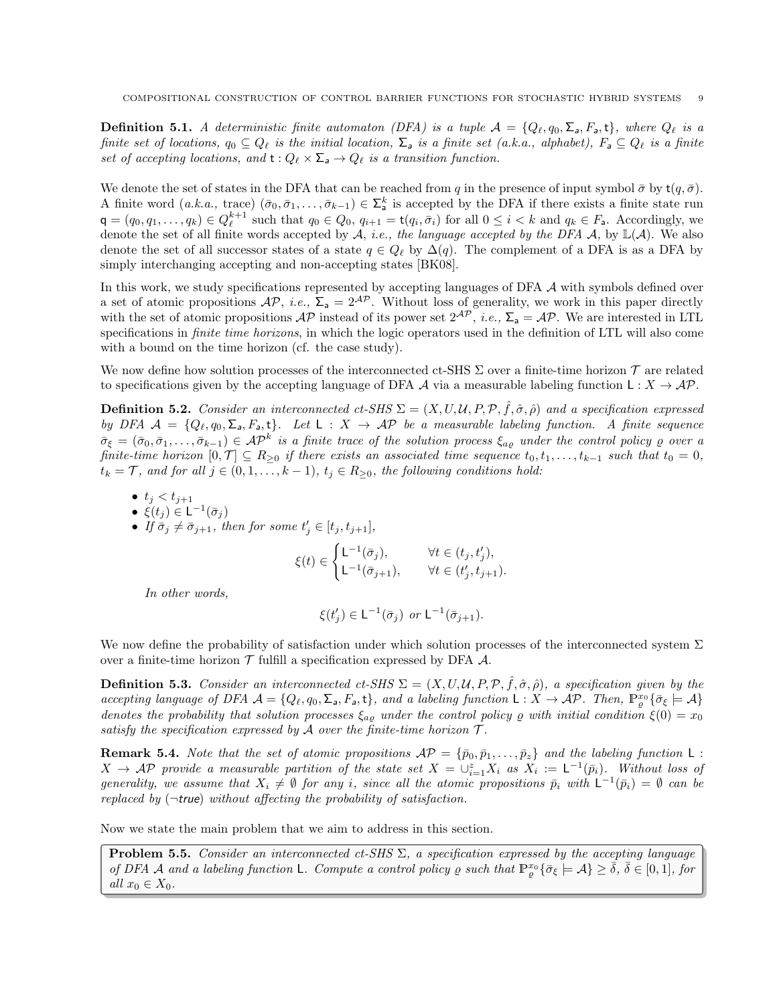**Definition 5.1.** A deterministic finite automaton (DFA) is a tuple  $\mathcal{A} = \{Q_\ell, q_0, \Sigma_a, F_a, t\}$ , where  $Q_\ell$  is a finite set of locations,  $q_0 \subseteq Q_\ell$  is the initial location,  $\Sigma_a$  is a finite set (a.k.a., alphabet),  $F_a \subseteq Q_\ell$  is a finite set of accepting locations, and  $t: Q_{\ell} \times \Sigma_a \to Q_{\ell}$  is a transition function.

We denote the set of states in the DFA that can be reached from q in the presence of input symbol  $\bar{\sigma}$  by  $t(q, \bar{\sigma})$ . A finite word  $(a.k.a., \text{ trace}) (\bar{\sigma}_0, \bar{\sigma}_1, \ldots, \bar{\sigma}_{k-1}) \in \Sigma_a^k$  is accepted by the DFA if there exists a finite state run  $\mathsf{q} = (q_0, q_1, \ldots, q_k) \in Q_{\ell}^{k+1}$  such that  $q_0 \in Q_0$ ,  $q_{i+1} = \mathsf{t}(q_i, \bar{\sigma}_i)$  for all  $0 \leq i \leq k$  and  $q_k \in F_a$ . Accordingly, we denote the set of all finite words accepted by  $A$ , *i.e.*, the language accepted by the DFA  $A$ , by  $\mathbb{L}(A)$ . We also denote the set of all successor states of a state  $q \in Q_{\ell}$  by  $\Delta(q)$ . The complement of a DFA is as a DFA by simply interchanging accepting and non-accepting states [BK08].

In this work, we study specifications represented by accepting languages of DFA  $\mathcal A$  with symbols defined over a set of atomic propositions  $AP$ , *i.e.*,  $\Sigma_a = 2^{AP}$ . Without loss of generality, we work in this paper directly with the set of atomic propositions  $AP$  instead of its power set  $2^{AP}$ , *i.e.*,  $\Sigma_a = AP$ . We are interested in LTL specifications in *finite time horizons*, in which the logic operators used in the definition of LTL will also come with a bound on the time horizon (cf. the case study).

We now define how solution processes of the interconnected ct-SHS  $\Sigma$  over a finite-time horizon  $\mathcal T$  are related to specifications given by the accepting language of DFA A via a measurable labeling function  $\mathsf{L}: X \to \mathcal{AP}$ .

**Definition 5.2.** Consider an interconnected ct-SHS  $\Sigma = (X, U, \mathcal{U}, P, \mathcal{P}, \hat{f}, \hat{\sigma}, \hat{\rho})$  and a specification expressed by DFA  $A = \{Q_\ell, q_0, \Sigma_a, F_a, t\}$ . Let  $L : X \to AP$  be a measurable labeling function. A finite sequence  $\bar{\sigma}_{\xi} = (\bar{\sigma}_0, \bar{\sigma}_1, \ldots, \bar{\sigma}_{k-1}) \in \mathcal{AP}^k$  is a finite trace of the solution process  $\xi_{a\varrho}$  under the control policy  $\varrho$  over a finite-time horizon  $[0, \mathcal{T}] \subseteq R_{\geq 0}$  if there exists an associated time sequence  $t_0, t_1, \ldots, t_{k-1}$  such that  $t_0 = 0$ ,  $t_k = \mathcal{T}$ , and for all  $j \in (0, 1, \ldots, k-1)$ ,  $t_j \in R_{\geq 0}$ , the following conditions hold:

- $t_j < t_{j+1}$
- $\xi(t_j) \in \mathsf{L}^{-1}(\bar{\sigma}_j)$
- If  $\bar{\sigma}_j \neq \bar{\sigma}_{j+1}$ , then for some  $t'_j \in [t_j, t_{j+1}],$

$$
\xi(t) \in \begin{cases} \mathsf{L}^{-1}(\bar{\sigma}_j), & \forall t \in (t_j, t'_j), \\ \mathsf{L}^{-1}(\bar{\sigma}_{j+1}), & \forall t \in (t'_j, t_{j+1}). \end{cases}
$$

In other words,

$$
\xi(t'_j) \in \mathsf{L}^{-1}(\bar{\sigma}_j) \text{ or } \mathsf{L}^{-1}(\bar{\sigma}_{j+1}).
$$

We now define the probability of satisfaction under which solution processes of the interconnected system  $\Sigma$ over a finite-time horizon  $\mathcal T$  fulfill a specification expressed by DFA  $\mathcal A$ .

**Definition 5.3.** Consider an interconnected ct-SHS  $\Sigma = (X, U, U, P, P, \hat{f}, \hat{\sigma}, \hat{\rho})$ , a specification given by the accepting language of DFA  $\mathcal{A} = \{Q_\ell, q_0, \Sigma_a, F_a, t\}$ , and a labeling function  $\mathsf{L}: X \to \mathcal{AP}$ . Then,  $\mathbb{P}^{x_0}_{\varrho} \{\bar{\sigma}_{\xi} \models \mathcal{A}\}$ denotes the probability that solution processes  $\xi_{a\varrho}$  under the control policy  $\varrho$  with initial condition  $\xi(0) = x_0$ satisfy the specification expressed by  $A$  over the finite-time horizon  $T$ .

**Remark 5.4.** Note that the set of atomic propositions  $AP = {\bar{p}_0, \bar{p}_1, \ldots, \bar{p}_z}$  and the labeling function L:  $X \to \mathcal{AP}$  provide a measurable partition of the state set  $X = \cup_{i=1}^z X_i$  as  $X_i := \mathsf{L}^{-1}(\bar{p}_i)$ . Without loss of generality, we assume that  $X_i \neq \emptyset$  for any i, since all the atomic propositions  $\bar{p}_i$  with  $\mathsf{L}^{-1}(\bar{p}_i) = \emptyset$  can be replaced by  $(\neg \text{true})$  without affecting the probability of satisfaction.

Now we state the main problem that we aim to address in this section.

**Problem 5.5.** Consider an interconnected ct-SHS  $\Sigma$ , a specification expressed by the accepting language of DFA A and a labeling function L. Compute a control policy  $\rho$  such that  $\mathbb{P}_{\varrho}^{x_0} \{\bar{\sigma}_{\xi} \models A\} \geq \bar{\delta}, \bar{\delta} \in [0,1],$  for all  $x_0 \in X_0$ .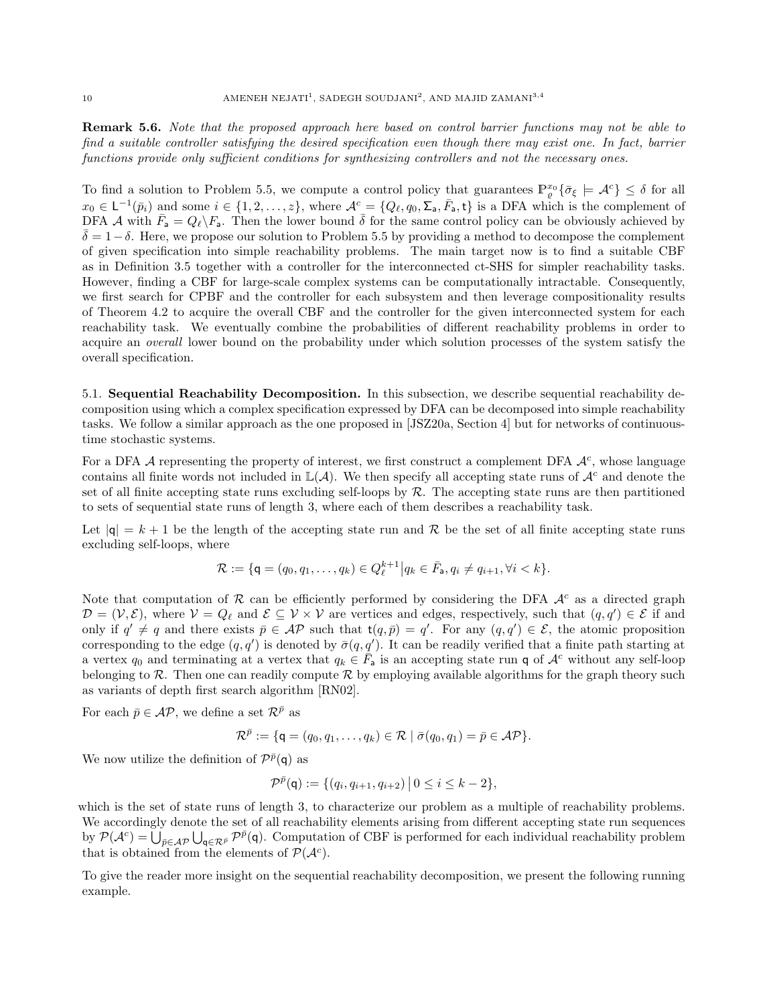**Remark 5.6.** Note that the proposed approach here based on control barrier functions may not be able to find a suitable controller satisfying the desired specification even though there may exist one. In fact, barrier functions provide only sufficient conditions for synthesizing controllers and not the necessary ones.

To find a solution to Problem 5.5, we compute a control policy that guarantees  $\mathbb{P}_{\varrho}^{x_0} \{\bar{\sigma}_{\xi} \models \mathcal{A}^c\} \leq \delta$  for all  $x_0 \in L^{-1}(\bar{p}_i)$  and some  $i \in \{1, 2, ..., z\}$ , where  $\mathcal{A}^c = \{Q_\ell, q_0, \Sigma_a, \bar{F}_a, \mathsf{t}\}\$ is a DFA which is the complement of DFA A with  $\bar{F}_a = Q_\ell \backslash F_a$ . Then the lower bound  $\bar{\delta}$  for the same control policy can be obviously achieved by  $\delta$  = 1− $\delta$ . Here, we propose our solution to Problem 5.5 by providing a method to decompose the complement of given specification into simple reachability problems. The main target now is to find a suitable CBF as in Definition 3.5 together with a controller for the interconnected ct-SHS for simpler reachability tasks. However, finding a CBF for large-scale complex systems can be computationally intractable. Consequently, we first search for CPBF and the controller for each subsystem and then leverage compositionality results of Theorem 4.2 to acquire the overall CBF and the controller for the given interconnected system for each reachability task. We eventually combine the probabilities of different reachability problems in order to acquire an overall lower bound on the probability under which solution processes of the system satisfy the overall specification.

5.1. Sequential Reachability Decomposition. In this subsection, we describe sequential reachability decomposition using which a complex specification expressed by DFA can be decomposed into simple reachability tasks. We follow a similar approach as the one proposed in [JSZ20a, Section 4] but for networks of continuoustime stochastic systems.

For a DFA  $A$  representing the property of interest, we first construct a complement DFA  $A<sup>c</sup>$ , whose language contains all finite words not included in  $\mathbb{L}(\mathcal{A})$ . We then specify all accepting state runs of  $\mathcal{A}^c$  and denote the set of all finite accepting state runs excluding self-loops by  $R$ . The accepting state runs are then partitioned to sets of sequential state runs of length 3, where each of them describes a reachability task.

Let  $|q| = k + 1$  be the length of the accepting state run and R be the set of all finite accepting state runs excluding self-loops, where

$$
\mathcal{R} := \{ \mathsf{q} = (q_0, q_1, \dots, q_k) \in Q_{\ell}^{k+1} \middle| q_k \in \bar{F}_\mathsf{a}, q_i \neq q_{i+1}, \forall i < k \}.
$$

Note that computation of  $\mathcal R$  can be efficiently performed by considering the DFA  $\mathcal A^c$  as a directed graph  $\mathcal{D} = (\mathcal{V}, \mathcal{E})$ , where  $\mathcal{V} = Q_{\ell}$  and  $\mathcal{E} \subseteq \mathcal{V} \times \mathcal{V}$  are vertices and edges, respectively, such that  $(q, q') \in \mathcal{E}$  if and only if  $q' \neq q$  and there exists  $\bar{p} \in \mathcal{AP}$  such that  $t(q, \bar{p}) = q'$ . For any  $(q, q') \in \mathcal{E}$ , the atomic proposition corresponding to the edge  $(q, q')$  is denoted by  $\bar{\sigma}(q, q')$ . It can be readily verified that a finite path starting at a vertex  $q_0$  and terminating at a vertex that  $q_k \in \bar{F}_a$  is an accepting state run q of  $\mathcal{A}^c$  without any self-loop belonging to  $\mathcal R$ . Then one can readily compute  $\mathcal R$  by employing available algorithms for the graph theory such as variants of depth first search algorithm [RN02].

For each  $\bar{p} \in \mathcal{AP}$ , we define a set  $\mathcal{R}^{\bar{p}}$  as

$$
\mathcal{R}^{\bar{p}} := \{ \mathsf{q} = (q_0, q_1, \ldots, q_k) \in \mathcal{R} \mid \bar{\sigma}(q_0, q_1) = \bar{p} \in \mathcal{AP} \}.
$$

We now utilize the definition of  $\mathcal{P}^{\bar{p}}(\mathsf{q})$  as

$$
\mathcal{P}^{\bar{p}}(\mathsf{q}) := \{ (q_i, q_{i+1}, q_{i+2}) \, \big| \, 0 \leq i \leq k-2 \},
$$

which is the set of state runs of length 3, to characterize our problem as a multiple of reachability problems. We accordingly denote the set of all reachability elements arising from different accepting state run sequences by  $\mathcal{P}(\mathcal{A}^c) = \bigcup_{\bar{p} \in \mathcal{AP}} \bigcup_{\mathsf{q} \in \mathcal{R}^{\bar{p}}} \mathcal{P}^{\bar{p}}(\mathsf{q})$ . Computation of CBF is performed for each individual reachability problem that is obtained from the elements of  $\mathcal{P}(\mathcal{A}^c)$ .

To give the reader more insight on the sequential reachability decomposition, we present the following running example.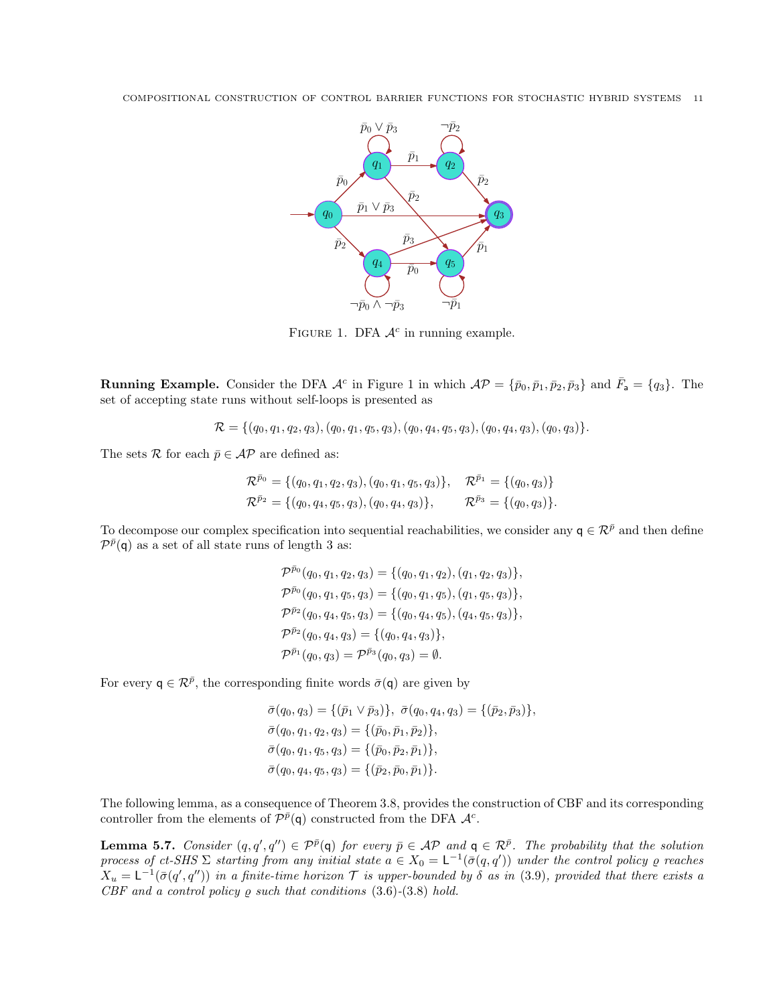

FIGURE 1. DFA  $\mathcal{A}^c$  in running example.

**Running Example.** Consider the DFA  $\mathcal{A}^c$  in Figure 1 in which  $\mathcal{AP} = {\bar{p}_0, \bar{p}_1, \bar{p}_2, \bar{p}_3}$  and  $\bar{F}_a = {q_3}$ . The set of accepting state runs without self-loops is presented as

 $\mathcal{R} = \{(q_0, q_1, q_2, q_3), (q_0, q_1, q_5, q_3), (q_0, q_4, q_5, q_3), (q_0, q_4, q_3), (q_0, q_3)\}.$ 

The sets  $\mathcal R$  for each  $\bar{p} \in \mathcal{AP}$  are defined as:

$$
\mathcal{R}^{\bar{p}_0} = \{ (q_0, q_1, q_2, q_3), (q_0, q_1, q_5, q_3) \}, \quad \mathcal{R}^{\bar{p}_1} = \{ (q_0, q_3) \}
$$
  

$$
\mathcal{R}^{\bar{p}_2} = \{ (q_0, q_4, q_5, q_3), (q_0, q_4, q_3) \}, \qquad \mathcal{R}^{\bar{p}_3} = \{ (q_0, q_3) \}.
$$

To decompose our complex specification into sequential reachabilities, we consider any  $q \in \mathcal{R}^{\bar{p}}$  and then define  $\mathcal{P}^{\bar{p}}(\mathsf{q})$  as a set of all state runs of length 3 as:

$$
\mathcal{P}^{\bar{p}_0}(q_0, q_1, q_2, q_3) = \{(q_0, q_1, q_2), (q_1, q_2, q_3)\},
$$
  
\n
$$
\mathcal{P}^{\bar{p}_0}(q_0, q_1, q_5, q_3) = \{(q_0, q_1, q_5), (q_1, q_5, q_3)\},
$$
  
\n
$$
\mathcal{P}^{\bar{p}_2}(q_0, q_4, q_5, q_3) = \{(q_0, q_4, q_5), (q_4, q_5, q_3)\},
$$
  
\n
$$
\mathcal{P}^{\bar{p}_2}(q_0, q_4, q_3) = \{(q_0, q_4, q_3)\},
$$
  
\n
$$
\mathcal{P}^{\bar{p}_1}(q_0, q_3) = \mathcal{P}^{\bar{p}_3}(q_0, q_3) = \emptyset.
$$

For every  $q \in \mathcal{R}^{\bar{p}}$ , the corresponding finite words  $\bar{\sigma}(q)$  are given by

$$
\bar{\sigma}(q_0, q_3) = \{ (\bar{p}_1 \vee \bar{p}_3) \}, \ \bar{\sigma}(q_0, q_4, q_3) = \{ (\bar{p}_2, \bar{p}_3) \}, \n\bar{\sigma}(q_0, q_1, q_2, q_3) = \{ (\bar{p}_0, \bar{p}_1, \bar{p}_2) \}, \n\bar{\sigma}(q_0, q_1, q_5, q_3) = \{ (\bar{p}_0, \bar{p}_2, \bar{p}_1) \}, \n\bar{\sigma}(q_0, q_4, q_5, q_3) = \{ (\bar{p}_2, \bar{p}_0, \bar{p}_1) \}.
$$

The following lemma, as a consequence of Theorem 3.8, provides the construction of CBF and its corresponding controller from the elements of  $\mathcal{P}^{\bar{p}}(\mathsf{q})$  constructed from the DFA  $\mathcal{A}^c$ .

**Lemma 5.7.** Consider  $(q, q', q'') \in \mathcal{P}^{\bar{p}}(q)$  for every  $\bar{p} \in \mathcal{AP}$  and  $q \in \mathcal{R}^{\bar{p}}$ . The probability that the solution process of ct-SHS  $\Sigma$  starting from any initial state  $a \in X_0 = L^{-1}(\bar{\sigma}(q,q'))$  under the control policy  $\varrho$  reaches  $X_u = \mathsf{L}^{-1}(\bar{\sigma}(q', q''))$  in a finite-time horizon  $\mathcal T$  is upper-bounded by  $\delta$  as in (3.9), provided that there exists a  $CBF$  and a control policy  $\rho$  such that conditions  $(3.6)-(3.8)$  hold.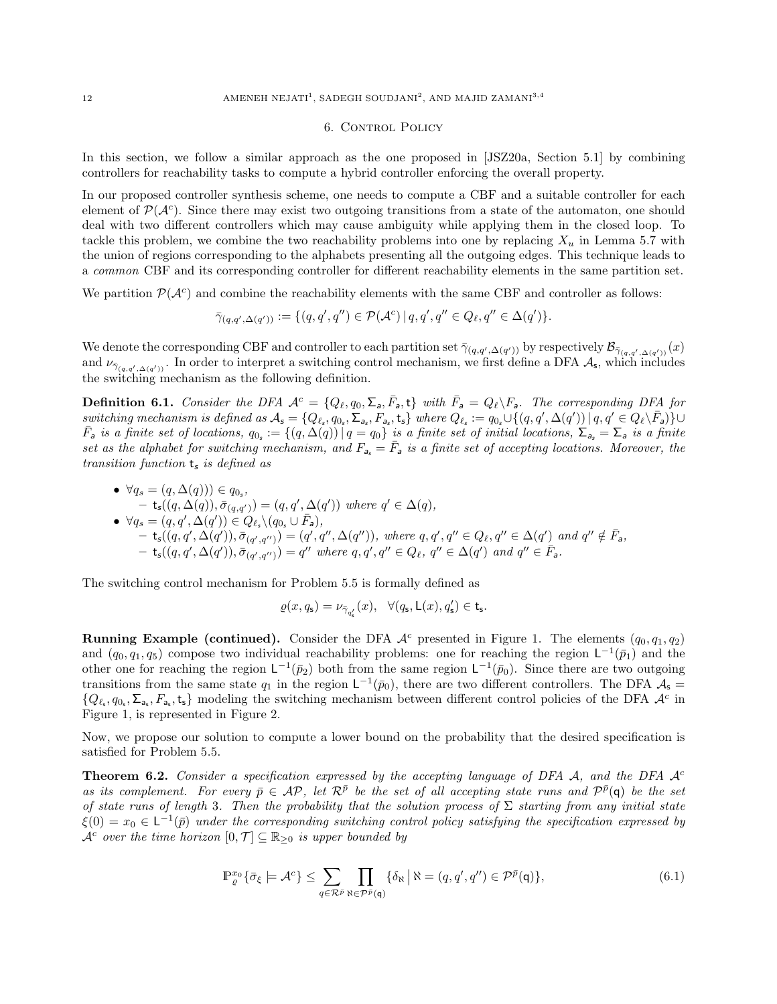### 6. CONTROL POLICY

In this section, we follow a similar approach as the one proposed in [JSZ20a, Section 5.1] by combining controllers for reachability tasks to compute a hybrid controller enforcing the overall property.

In our proposed controller synthesis scheme, one needs to compute a CBF and a suitable controller for each element of  $\mathcal{P}(\mathcal{A}^c)$ . Since there may exist two outgoing transitions from a state of the automaton, one should deal with two different controllers which may cause ambiguity while applying them in the closed loop. To tackle this problem, we combine the two reachability problems into one by replacing  $X_u$  in Lemma 5.7 with the union of regions corresponding to the alphabets presenting all the outgoing edges. This technique leads to a common CBF and its corresponding controller for different reachability elements in the same partition set.

We partition  $\mathcal{P}(\mathcal{A}^c)$  and combine the reachability elements with the same CBF and controller as follows:

$$
\bar{\gamma}_{(q,q',\Delta(q'))} := \{ (q,q',q'') \in \mathcal{P}(\mathcal{A}^c) \mid q,q',q'' \in Q_{\ell}, q'' \in \Delta(q') \}.
$$

We denote the corresponding CBF and controller to each partition set  $\bar{\gamma}_{(q,q',\Delta(q'))}$  by respectively  $\mathcal{B}_{\bar{\gamma}_{(q,q',\Delta(q'))}}(x)$ and  $\nu_{\bar{\gamma}_{(q,q',\Delta(q'))}}$ . In order to interpret a switching control mechanism, we first define a DFA  $\mathcal{A}_{s}$ , which includes the switching mechanism as the following definition.

**Definition 6.1.** Consider the DFA  $A^c = \{Q_\ell, q_0, \Sigma_a, \bar{F}_a, t\}$  with  $\bar{F}_a = Q_\ell \setminus F_a$ . The corresponding DFA for  $s with a mechanism is defined as \mathcal{A}_s = \{Q_{\ell_s}, q_{0_s}, \Sigma_{a_s}, F_{a_s}, t_s\} where \ Q_{\ell_s} := q_{0_s} \cup \{(q, q', \Delta(q')) | q, q' \in Q_{\ell} \setminus \overline{F}_a\} \cup \{Q_{\ell_s}, \overline{Q}_{\ell_s}, \overline{Q}_{\ell_s}, \overline{Q}_{\ell_s}, \overline{Q}_{\ell_s}, \overline{Q}_{\ell_s}, \overline{Q}_{\ell_s}, \overline{Q}_{\ell_s}, \overline{Q}_{\ell_s}, \overline{Q}_{\ell_s}, \overline{Q}_{\ell_s}, \overline{Q}_{\ell_s}, \overline{Q}_{\$  $\overline{F}_a$  is a finite set of locations,  $q_{0_s} := \{(q, \Delta(q)) | q = q_0\}$  is a finite set of initial locations,  $\Sigma_{a_s} = \Sigma_a$  is a finite set as the alphabet for switching mechanism, and  $F_{a} = \bar{F}_{a}$  is a finite set of accepting locations. Moreover, the transition function  $t_s$  is defined as

•  $\forall q_s = (q, \Delta(q)) \in q_{0_s},$  $\mathsf{t}_{\mathsf{s}}((q, \Delta(q)), \bar{\sigma}_{(q,q')}) = (q, q', \Delta(q'))$  where  $q' \in \Delta(q)$ , •  $\forall q_s = (q, q', \Delta(q')) \in Q_{\ell_s} \backslash (q_{0_s} \cup \bar{F}_a),$  $\mathsf{t}_{\mathsf{s}}((q,q',\Delta(q')), \bar{\sigma}_{(q',q'')}) = (q',q'',\Delta(q'')),$  where  $q,q',q'' \in Q_{\ell}, q'' \in \Delta(q')$  and  $q'' \notin \bar{F}_{\mathsf{a}},$  $\mathsf{t}_{\mathsf{s}}((q,q',\Delta(q')), \bar{\sigma}_{(q',q'')}) = q''$  where  $q, q', q'' \in Q_{\ell}, q'' \in \Delta(q')$  and  $q'' \in \bar{F}_{\mathsf{a}}$ .

The switching control mechanism for Problem 5.5 is formally defined as

$$
\varrho(x,q_{\mathsf{s}})=\nu_{\bar{\gamma}_{q_{\mathsf{s}}'}}(x),\quad \forall (q_{\mathsf{s}},\mathsf{L}(x),q_{\mathsf{s}}')\in \mathsf{t}_{\mathsf{s}}.
$$

**Running Example (continued).** Consider the DFA  $\mathcal{A}^c$  presented in Figure 1. The elements  $(q_0, q_1, q_2)$ and  $(q_0, q_1, q_5)$  compose two individual reachability problems: one for reaching the region  $\mathsf{L}^{-1}(\bar{p}_1)$  and the other one for reaching the region  $\mathsf{L}^{-1}(\bar{p}_2)$  both from the same region  $\mathsf{L}^{-1}(\bar{p}_0)$ . Since there are two outgoing transitions from the same state  $q_1$  in the region  $\mathsf{L}^{-1}(\bar{p}_0)$ , there are two different controllers. The DFA  $\mathcal{A}_s$  =  $\{Q_{\ell_s}, q_{0_s}, \Sigma_{\mathsf{a}_s}, F_{\mathsf{a}_s}, \mathsf{t}_\mathsf{s}\}\)$  modeling the switching mechanism between different control policies of the DFA  $\mathcal{A}^c$  in Figure 1, is represented in Figure 2.

Now, we propose our solution to compute a lower bound on the probability that the desired specification is satisfied for Problem 5.5.

**Theorem 6.2.** Consider a specification expressed by the accepting language of DFA A, and the DFA  $\mathcal{A}^c$ as its complement. For every  $\bar{p} \in \mathcal{AP}$ , let  $\mathcal{R}^{\bar{p}}$  be the set of all accepting state runs and  $\mathcal{P}^{\bar{p}}(\mathsf{q})$  be the set of state runs of length 3. Then the probability that the solution process of  $\Sigma$  starting from any initial state  $\xi(0) = x_0 \in \mathsf{L}^{-1}(\bar{p})$  under the corresponding switching control policy satisfying the specification expressed by  $\mathcal{A}^c$  over the time horizon  $[0, \mathcal{T}] \subseteq \mathbb{R}_{\geq 0}$  is upper bounded by

$$
\mathbb{P}_{\varrho}^{x_0} \{ \bar{\sigma}_{\xi} \models \mathcal{A}^c \} \le \sum_{q \in \mathcal{R}^{\bar{p}}} \prod_{\aleph \in \mathcal{P}^{\bar{p}}(\mathfrak{q})} \{ \delta_{\aleph} \, \big| \, \aleph = (q, q', q'') \in \mathcal{P}^{\bar{p}}(\mathfrak{q}) \},\tag{6.1}
$$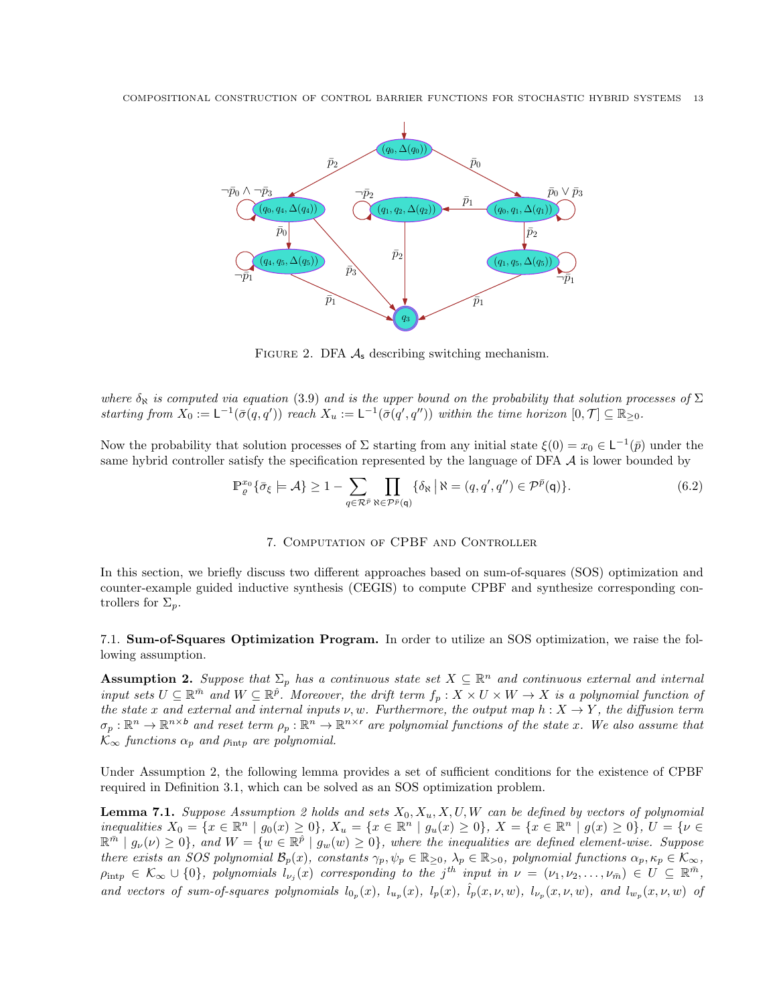COMPOSITIONAL CONSTRUCTION OF CONTROL BARRIER FUNCTIONS FOR STOCHASTIC HYBRID SYSTEMS 13



FIGURE 2. DFA  $\mathcal{A}_s$  describing switching mechanism.

where  $\delta_{\aleph}$  is computed via equation (3.9) and is the upper bound on the probability that solution processes of  $\Sigma$ starting from  $X_0 := \mathsf{L}^{-1}(\bar{\sigma}(q,q'))$  reach  $X_u := \mathsf{L}^{-1}(\bar{\sigma}(q',q''))$  within the time horizon  $[0,\mathcal{T}] \subseteq \mathbb{R}_{\geq 0}$ .

Now the probability that solution processes of  $\Sigma$  starting from any initial state  $\xi(0) = x_0 \in L^{-1}(\bar{p})$  under the same hybrid controller satisfy the specification represented by the language of DFA  $\mathcal A$  is lower bounded by

$$
\mathbb{P}_{\varrho}^{x_0} \{ \bar{\sigma}_{\xi} \models \mathcal{A} \} \ge 1 - \sum_{q \in \mathcal{R}^{\bar{p}}} \prod_{\aleph \in \mathcal{P}^{\bar{p}}(\mathsf{q})} \{ \delta_{\aleph} \, \big| \, \aleph = (q, q', q'') \in \mathcal{P}^{\bar{p}}(\mathsf{q}) \}.
$$

## 7. Computation of CPBF and Controller

In this section, we briefly discuss two different approaches based on sum-of-squares (SOS) optimization and counter-example guided inductive synthesis (CEGIS) to compute CPBF and synthesize corresponding controllers for  $\Sigma_n$ .

7.1. Sum-of-Squares Optimization Program. In order to utilize an SOS optimization, we raise the following assumption.

**Assumption 2.** Suppose that  $\Sigma_p$  has a continuous state set  $X \subseteq \mathbb{R}^n$  and continuous external and internal input sets  $U \subseteq \mathbb{R}^{\bar{m}}$  and  $W \subseteq \mathbb{R}^{\hat{p}}$ . Moreover, the drift term  $f_p: X \times U \times W \to X$  is a polynomial function of the state x and external and internal inputs  $\nu, w$ . Furthermore, the output map  $h: X \to Y$ , the diffusion term  $\sigma_p : \mathbb{R}^n \to \mathbb{R}^{n \times b}$  and reset term  $\rho_p : \mathbb{R}^n \to \mathbb{R}^{n \times r}$  are polynomial functions of the state x. We also assume that  $\mathcal{K}_{\infty}$  functions  $\alpha_p$  and  $\rho_{\text{intp}}$  are polynomial.

Under Assumption 2, the following lemma provides a set of sufficient conditions for the existence of CPBF required in Definition 3.1, which can be solved as an SOS optimization problem.

**Lemma 7.1.** Suppose Assumption 2 holds and sets  $X_0, X_u, X, U, W$  can be defined by vectors of polynomial inequalities  $X_0 = \{x \in \mathbb{R}^n \mid g_0(x) \ge 0\}$ ,  $X_u = \{x \in \mathbb{R}^n \mid g_u(x) \ge 0\}$ ,  $X = \{x \in \mathbb{R}^n \mid g(x) \ge 0\}$ ,  $U = \{\nu \in \mathbb{R}^m \mid g_\nu(\nu) \ge 0\}$ , and  $W = \{w \in \mathbb{R}^{\hat{p}} \mid g_w(w) \ge 0\}$ , where the inequalities are defined eleme there exists an SOS polynomial  $\mathcal{B}_p(x)$ , constants  $\gamma_p, \psi_p \in \mathbb{R}_{\geq 0}$ ,  $\lambda_p \in \mathbb{R}_{>0}$ , polynomial functions  $\alpha_p, \kappa_p \in \mathcal{K}_{\infty}$ ,  $\rho_{\text{intp}} \in \mathcal{K}_{\infty} \cup \{0\}$ , polynomials  $l_{\nu_j}(x)$  corresponding to the j<sup>th</sup> input in  $\nu = (\nu_1, \nu_2, \dots, \nu_{\bar{m}}) \in U \subseteq \mathbb{R}^{\bar{m}}$ , and vectors of sum-of-squares polynomials  $l_{0_p}(x)$ ,  $l_{u_p}(x)$ ,  $l_p(x)$ ,  $\hat{l}_p(x,\nu,w)$ ,  $l_{\nu_p}(x,\nu,w)$ , and  $l_{w_p}(x,\nu,w)$  of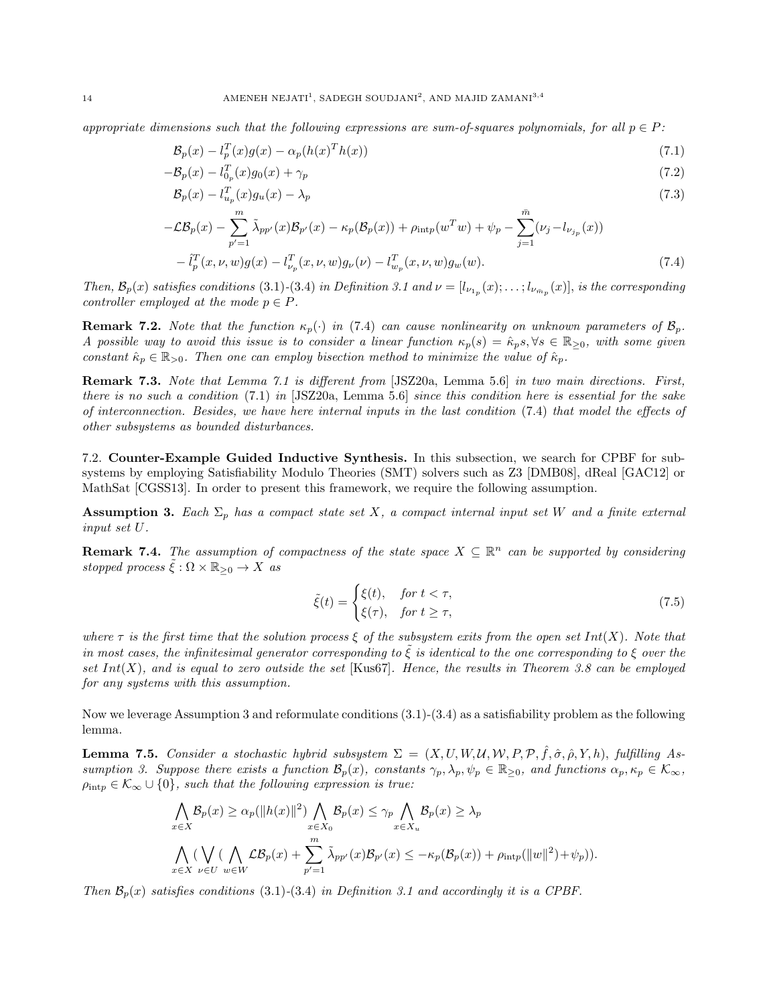appropriate dimensions such that the following expressions are sum-of-squares polynomials, for all  $p \in P$ :

$$
\mathcal{B}_p(x) - l_p^T(x)g(x) - \alpha_p(h(x)^T h(x))\tag{7.1}
$$

$$
-\mathcal{B}_p(x) - l_{0_p}^T(x)g_0(x) + \gamma_p \tag{7.2}
$$

$$
\mathcal{B}_p(x) - l_{u_p}^T(x)g_u(x) - \lambda_p \tag{7.3}
$$

$$
-\mathcal{L}\mathcal{B}_p(x) - \sum_{p'=1}^m \tilde{\lambda}_{pp'}(x)\mathcal{B}_{p'}(x) - \kappa_p(\mathcal{B}_p(x)) + \rho_{\text{int}p}(w^T w) + \psi_p - \sum_{j=1}^{\bar{m}} (\nu_j - l_{\nu_{j_p}}(x)) - \tilde{l}_p^T(x, \nu, w)g(x) - l_{\nu_p}^T(x, \nu, w)g_{\nu}(\nu) - l_{\nu_p}^T(x, \nu, w)g_w(w).
$$
\n(7.4)

Then,  $\mathcal{B}_p(x)$  satisfies conditions (3.1)-(3.4) in Definition 3.1 and  $\nu = [l_{\nu_{1p}}(x);\ldots;l_{\nu_{\bar{m}_p}}(x)]$ , is the corresponding controller employed at the mode  $p \in P$ .

**Remark 7.2.** Note that the function  $\kappa_p(\cdot)$  in (7.4) can cause nonlinearity on unknown parameters of  $\mathcal{B}_p$ . A possible way to avoid this issue is to consider a linear function  $\kappa_p(s) = \hat{\kappa}_p s, \forall s \in \mathbb{R}_{\geq 0}$ , with some given constant  $\hat{\kappa}_p \in \mathbb{R}_{>0}$ . Then one can employ bisection method to minimize the value of  $\hat{\kappa}_p$ .

Remark 7.3. Note that Lemma 7.1 is different from [JSZ20a, Lemma 5.6] in two main directions. First, there is no such a condition (7.1) in [JSZ20a, Lemma 5.6] since this condition here is essential for the sake of interconnection. Besides, we have here internal inputs in the last condition (7.4) that model the effects of other subsystems as bounded disturbances.

7.2. Counter-Example Guided Inductive Synthesis. In this subsection, we search for CPBF for subsystems by employing Satisfiability Modulo Theories (SMT) solvers such as Z3 [DMB08], dReal [GAC12] or MathSat [CGSS13]. In order to present this framework, we require the following assumption.

**Assumption 3.** Each  $\Sigma_p$  has a compact state set X, a compact internal input set W and a finite external input set U.

**Remark 7.4.** The assumption of compactness of the state space  $X \subseteq \mathbb{R}^n$  can be supported by considering stopped process  $\tilde{\xi}: \Omega \times \mathbb{R}_{\geq 0} \to X$  as

$$
\tilde{\xi}(t) = \begin{cases} \xi(t), & \text{for } t < \tau, \\ \xi(\tau), & \text{for } t \ge \tau, \end{cases}
$$
\n(7.5)

where  $\tau$  is the first time that the solution process  $\xi$  of the subsystem exits from the open set Int(X). Note that in most cases, the infinitesimal generator corresponding to  $\xi$  is identical to the one corresponding to  $\xi$  over the set  $Int(X)$ , and is equal to zero outside the set [Kus67]. Hence, the results in Theorem 3.8 can be employed for any systems with this assumption.

Now we leverage Assumption 3 and reformulate conditions (3.1)-(3.4) as a satisfiability problem as the following lemma.

**Lemma 7.5.** Consider a stochastic hybrid subsystem  $\Sigma = (X, U, W, U, W, P, P, \hat{f}, \hat{\sigma}, \hat{\rho}, Y, h)$ , fulfilling Assumption 3. Suppose there exists a function  $\mathcal{B}_p(x)$ , constants  $\gamma_p, \lambda_p, \psi_p \in \mathbb{R}_{\geq 0}$ , and functions  $\alpha_p, \kappa_p \in \mathcal{K}_{\infty}$ ,  $\rho_{\rm intp} \in \mathcal{K}_{\infty} \cup \{0\}$ , such that the following expression is true:

$$
\bigwedge_{x \in X} \mathcal{B}_p(x) \ge \alpha_p(\|h(x)\|^2) \bigwedge_{x \in X_0} \mathcal{B}_p(x) \le \gamma_p \bigwedge_{x \in X_u} \mathcal{B}_p(x) \ge \lambda_p
$$
\n
$$
\bigwedge_{x \in X} (\bigvee_{\nu \in W} (\bigwedge_{w \in W} \mathcal{L} \mathcal{B}_p(x) + \sum_{p'=1}^m \tilde{\lambda}_{pp'}(x) \mathcal{B}_{p'}(x) \le -\kappa_p(\mathcal{B}_p(x)) + \rho_{\text{int}(p)}(\|w\|^2) + \psi_p)).
$$

Then  $\mathcal{B}_p(x)$  satisfies conditions (3.1)-(3.4) in Definition 3.1 and accordingly it is a CPBF.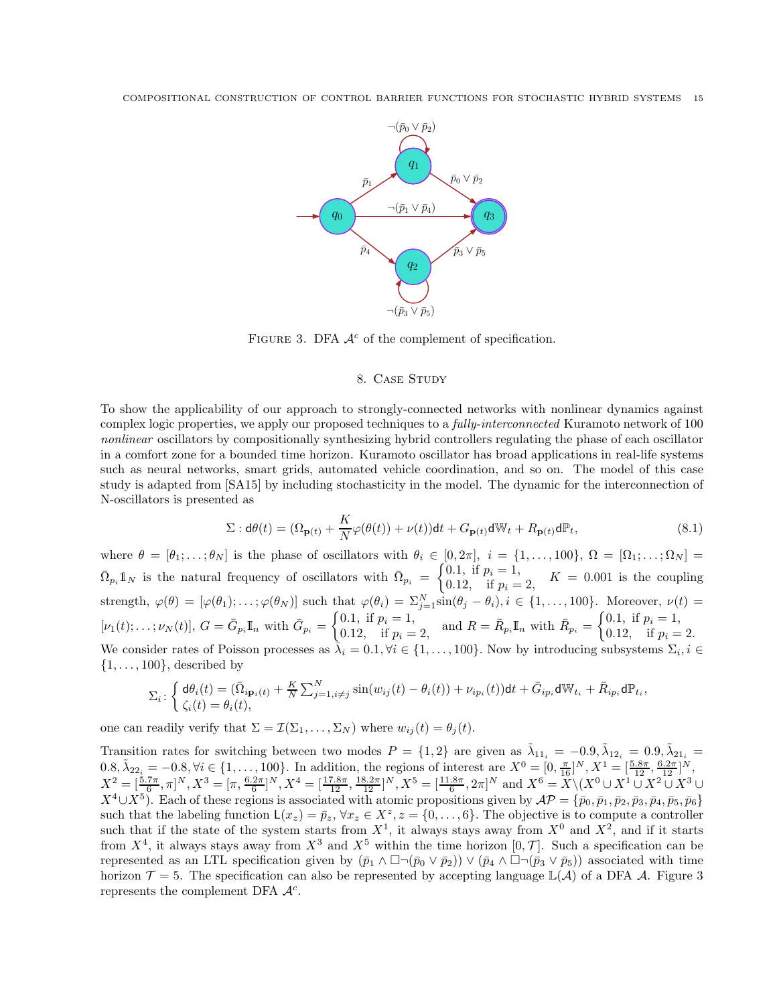

FIGURE 3. DFA  $A^c$  of the complement of specification.

## 8. CASE STUDY

To show the applicability of our approach to strongly-connected networks with nonlinear dynamics against complex logic properties, we apply our proposed techniques to a *fully-interconnected* Kuramoto network of 100 nonlinear oscillators by compositionally synthesizing hybrid controllers regulating the phase of each oscillator in a comfort zone for a bounded time horizon. Kuramoto oscillator has broad applications in real-life systems such as neural networks, smart grids, automated vehicle coordination, and so on. The model of this case study is adapted from [SA15] by including stochasticity in the model. The dynamic for the interconnection of N-oscillators is presented as

$$
\Sigma : \mathbf{d}\theta(t) = (\Omega_{\mathbf{p}(t)} + \frac{K}{N}\varphi(\theta(t)) + \nu(t))\mathbf{d}t + G_{\mathbf{p}(t)}\mathbf{d}\mathbb{W}_t + R_{\mathbf{p}(t)}\mathbf{d}\mathbb{P}_t,
$$
\n(8.1)

where  $\theta = [\theta_1; \dots; \theta_N]$  is the phase of oscillators with  $\theta_i \in [0, 2\pi]$ ,  $i = \{1, \dots, 100\}$ ,  $\Omega = [\Omega_1; \dots; \Omega_N] =$  $\bar{\Omega}_{p_i} \mathbb{1}_N$  is the natural frequency of oscillators with  $\bar{\Omega}_{p_i} = \begin{cases} 0.1, & \text{if } p_i = 1, \\ 0.12, & \text{if } p_i = 1. \end{cases}$ 0.12, if  $p_i = 2$ ,  $K = 0.001$  is the coupling strength,  $\varphi(\theta) = [\varphi(\theta_1); \ldots; \varphi(\theta_N)]$  such that  $\varphi(\theta_i) = \sum_{j=1}^N \sin(\theta_j - \theta_i), i \in \{1, \ldots, 100\}$ . Moreover,  $\nu(t) =$  $[\nu_1(t);\ldots;\nu_N(t)], G = \bar{G}_{p_i}\mathbb{I}_n \text{ with } \bar{G}_{p_i} = \begin{cases} 0.1, & \text{if } p_i = 1, \\ 0.12 & \text{if } p_i = 1. \end{cases}$ 0.1, if  $p_i = 1$ ,<br>
0.12, if  $p_i = 2$ , and  $R = \bar{R}_{p_i}I\!I_n$  with  $\bar{R}_{p_i} = \begin{cases} 0.1, & \text{if } p_i = 1, \\ 0.12, & \text{if } p_i = 1. \end{cases}$ 0.12, if  $p_i = 2$ . We consider rates of Poisson processes as  $\bar{\lambda}_i = 0.1, \forall i \in \{1, ..., 100\}$ . Now by introducing subsystems  $\Sigma_i, i \in$  $\{1, \ldots, 100\}$ , described by

$$
\Sigma_i\colon \left\{ \begin{aligned} &\mathrm{d}\theta_i(t)=(\bar{\Omega}_{i\mathbf{p}_i(t)}+\frac{K}{N}\sum_{j=1,i\neq j}^N\sin(w_{ij}(t)-\theta_i(t))+\nu_{ip_i}(t))\mathrm{d}t+\bar{G}_{ip_i}\mathrm{d}\mathbb{W}_{t_i}+\bar{R}_{ip_i}\mathrm{d}\mathbb{P}_{t_i},\\ &\zeta_i(t)=\theta_i(t), \end{aligned} \right.
$$

one can readily verify that  $\Sigma = \mathcal{I}(\Sigma_1, \ldots, \Sigma_N)$  where  $w_{ij}(t) = \theta_i(t)$ .

Transition rates for switching between two modes  $P = \{1, 2\}$  are given as  $\tilde{\lambda}_{11_i} = -0.9, \tilde{\lambda}_{12_i} = 0.9, \tilde{\lambda}_{21_i} =$  $0.8, \tilde{\lambda}_{22_i} = -0.8, \forall i \in \{1, ..., 100\}.$  In addition, the regions of interest are  $X^0 = [0, \frac{\pi}{16}]^N, X^1 = [\frac{5.8\pi}{12}, \frac{6.2\pi}{12}]^N$  $X^2 = \left[\frac{5.7\pi}{6}, \pi\right]^N, X^3 = \left[\pi, \frac{6.2\pi}{6}\right]^N, X^4 = \left[\frac{17.8\pi}{12}, \frac{18.2\pi}{12}\right]^N, X^5 = \left[\frac{11.8\pi}{6}, 2\pi\right]^N$  and  $X^6 = X \setminus (X^0 \cup X^1 \cup X^2 \cup X^3 \cup X^4)$  $X^4\cup X^5$ ). Each of these regions is associated with atomic propositions given by  $\mathcal{AP} = \{\bar{p}_0, \bar{p}_1, \bar{p}_2, \bar{p}_3, \bar{p}_4, \bar{p}_5, \bar{p}_6\}$ such that the labeling function  $L(x_z) = \bar{p}_z$ ,  $\forall x_z \in X^z$ ,  $z = \{0, \ldots, 6\}$ . The objective is to compute a controller such that if the state of the system starts from  $X^1$ , it always stays away from  $X^0$  and  $X^2$ , and if it starts from  $X^4$ , it always stays away from  $X^3$  and  $X^5$  within the time horizon  $[0, \mathcal{T}]$ . Such a specification can be represented as an LTL specification given by  $(\bar{p}_1 \wedge \Box \neg (\bar{p}_0 \vee \bar{p}_2)) \vee (\bar{p}_4 \wedge \Box \neg (\bar{p}_3 \vee \bar{p}_5))$  associated with time horizon  $\mathcal{T} = 5$ . The specification can also be represented by accepting language  $\mathbb{L}(\mathcal{A})$  of a DFA  $\mathcal{A}$ . Figure 3 represents the complement DFA  $\mathcal{A}^c$ .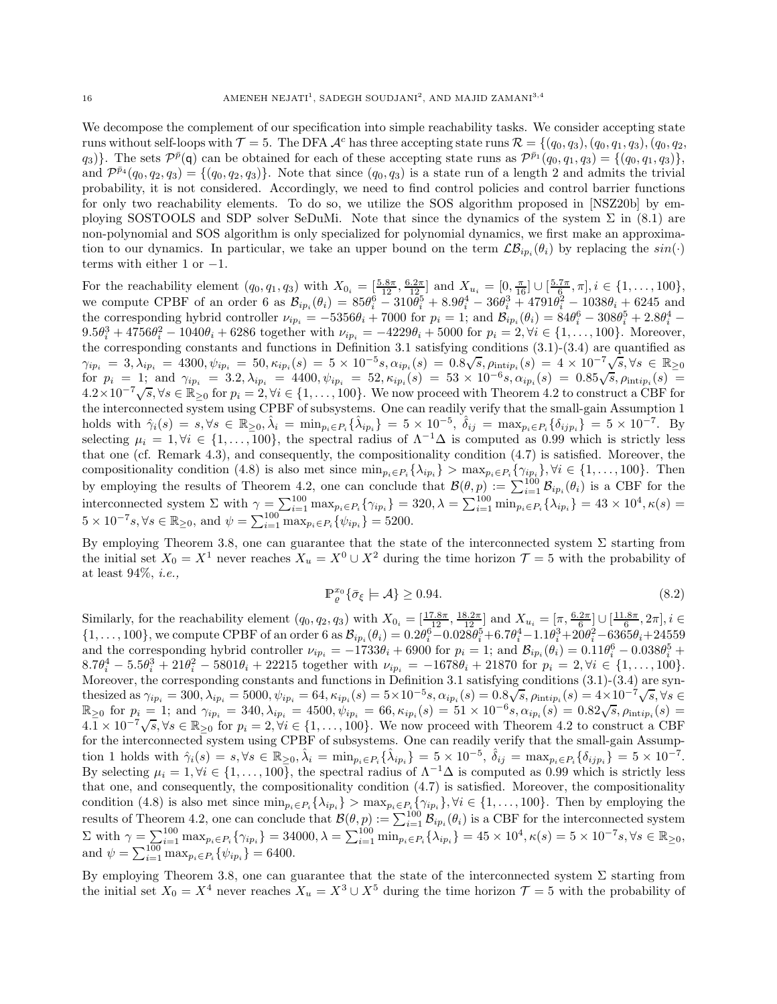We decompose the complement of our specification into simple reachability tasks. We consider accepting state runs without self-loops with  $\mathcal{T} = 5$ . The DFA  $\mathcal{A}^c$  has three accepting state runs  $\mathcal{R} = \{(q_0, q_3), (q_0, q_1, q_3), (q_0, q_2, q_3)\}$  $(q_3)$ . The sets  $\mathcal{P}^{\bar{p}}(q)$  can be obtained for each of these accepting state runs as  $\mathcal{P}^{\bar{p}_1}(q_0, q_1, q_3) = \{(q_0, q_1, q_3)\},\$ and  $\mathcal{P}^{\bar{p}_4}(q_0, q_2, q_3) = \{(q_0, q_2, q_3)\}\.$  Note that since  $(q_0, q_3)$  is a state run of a length 2 and admits the trivial probability, it is not considered. Accordingly, we need to find control policies and control barrier functions for only two reachability elements. To do so, we utilize the SOS algorithm proposed in [NSZ20b] by employing SOSTOOLS and SDP solver SeDuMi. Note that since the dynamics of the system  $\Sigma$  in (8.1) are non-polynomial and SOS algorithm is only specialized for polynomial dynamics, we first make an approximation to our dynamics. In particular, we take an upper bound on the term  $\mathcal{LB}_{ip_i}(\theta_i)$  by replacing the  $sin(\cdot)$ terms with either 1 or  $-1$ .

For the reachability element  $(q_0, q_1, q_3)$  with  $X_{0_i} = \left[\frac{5.8\pi}{12}, \frac{6.2\pi}{12}\right]$  and  $X_{u_i} = \left[0, \frac{\pi}{16}\right] \cup \left[\frac{5.7\pi}{6}, \pi\right], i \in \{1, \dots, 100\},$ we compute CPBF of an order 6 as  $\mathcal{B}_{ip_i}(\theta_i) = 85\theta_i^6 - 310\theta_i^5 + 8.9\theta_i^4 - 36\theta_i^3 + 4791\theta_i^2 - 1038\theta_i + 6245$  and the corresponding hybrid controller  $\nu_{ip_i} = -5356\theta_i + 7000$  for  $p_i = 1$ ; and  $\mathcal{B}_{ip_i}(\theta_i) = 84\theta_i^6 - 308\theta_i^5 + 2.8\theta_i^4 9.5\theta_i^3 + 4756\theta_i^2 - 1040\theta_i + 6286$  together with  $\nu_{ip_i} = -4229\theta_i + 5000$  for  $p_i = 2, \forall i \in \{1, ..., 100\}$ . Moreover, the corresponding constants and functions in Definition 3.1 satisfying conditions (3.1)-(3.4) are quantified as  $\gamma_{ip_i} \,=\, 3, \lambda_{ip_i} \,=\, 4300, \psi_{ip_i} \,=\, 50, \kappa_{ip_i}(s) \,=\, 5\times 10^{-5}s, \alpha_{ip_i}(s) \,=\, 0.8 \sqrt{s}, \rho_{\text{intip}_i}(s) \,=\, 4\times 10^{-7} \sqrt{s}, \forall s \, \in\, \mathbb{R}_{\geq 0}$ for  $p_i = 1$ ; and  $\gamma_{ip_i} = 3.2, \lambda_{ip_i} = 4400, \psi_{ip_i} = 52, \kappa_{ip_i}(s) = 53 \times 10^{-6} s, \alpha_{ip_i}(s) = 0.85\sqrt{s}, \rho_{\text{intip}_i}(s) = 53 \times 10^{-6} s$  $4.2 \times 10^{-7} \sqrt{s}$ ,  $\forall s \in \mathbb{R}_{\geq 0}$  for  $p_i = 2$ ,  $\forall i \in \{1, ..., 100\}$ . We now proceed with Theorem 4.2 to construct a CBF for the interconnected system using CPBF of subsystems. One can readily verify that the small-gain Assumption 1 holds with  $\hat{\gamma}_i(s) = s, \forall s \in \mathbb{R}_{\geq 0}, \hat{\lambda}_i = \min_{p_i \in P_i} {\hat{\lambda}_{ip_i}} = 5 \times 10^{-5}, \hat{\delta}_{ij} = \max_{p_i \in P_i} {\hat{\delta}_{ijp_i}} = 5 \times 10^{-7}$ . By selecting  $\mu_i = 1, \forall i \in \{1, \ldots, 100\}$ , the spectral radius of  $\Lambda^{-1}\Delta$  is computed as 0.99 which is strictly less that one (cf. Remark 4.3), and consequently, the compositionality condition (4.7) is satisfied. Moreover, the compositionality condition (4.8) is also met since  $\min_{p_i \in P_i} {\{\lambda_{ip_i}\}} > \max_{p_i \in P_i} {\{\gamma_{ip_i}\}}, \forall i \in \{1, ..., 100\}.$  Then by employing the results of Theorem 4.2, one can conclude that  $\mathcal{B}(\theta, p) := \sum_{i=1}^{100} \mathcal{B}_{ip_i}(\theta_i)$  is a CBF for the interconnected system  $\Sigma$  with  $\gamma = \sum_{i=1}^{100} \max_{p_i \in P_i} {\gamma_{ip_i}} = 320, \lambda = \sum_{i=1}^{100} \min_{p_i \in P_i} {\lambda_{ip_i}} = 43 \times 10^4, \kappa(s) =$  $5 \times 10^{-7}$ s, ∀s ∈ ℝ<sub>≥0</sub>, and  $\psi = \sum_{i=1}^{100} \max_{p_i \in P_i} {\psi_{ip_i}}$  = 5200.

By employing Theorem 3.8, one can guarantee that the state of the interconnected system  $\Sigma$  starting from the initial set  $X_0 = X^1$  never reaches  $X_u = X^0 \cup X^2$  during the time horizon  $\mathcal{T} = 5$  with the probability of at least 94%, i.e.,

$$
\mathbb{P}_{\varrho}^{x_0} \{ \bar{\sigma}_{\xi} \models \mathcal{A} \} \ge 0.94. \tag{8.2}
$$

Similarly, for the reachability element  $(q_0, q_2, q_3)$  with  $X_{0_i} = \left[\frac{17.8\pi}{12}, \frac{18.2\pi}{12}\right]$  and  $X_{u_i} = \left[\pi, \frac{6.2\pi}{6}\right] \cup \left[\frac{11.8\pi}{6}, 2\pi\right]$ ,  $i \in$  $\{1,\ldots,100\}$ , we compute CPBF of an order 6 as  $\mathcal{B}_{ip_i}(\theta_i) = 0.2\theta_i^6 - 0.028\theta_i^5 + 6.7\theta_i^4 - 1.1\theta_i^3 + 20\theta_i^2 - 6365\theta_i + 24559$ and the corresponding hybrid controller  $\nu_{ip_i} = -1733\theta_i + 6900$  for  $p_i = 1$ ; and  $\mathcal{B}_{ip_i}(\theta_i) = 0.11\theta_i^6 - 0.038\theta_i^5 +$  $8.7\theta_i^4 - 5.5\theta_i^3 + 21\theta_i^2 - 5801\theta_i + 22215$  together with  $\nu_{ip_i} = -1678\theta_i + 21870$  for  $p_i = 2, \forall i \in \{1, ..., 100\}.$ Moreover, the corresponding constants and functions in Definition 3.1 satisfying conditions (3.1)-(3.4) are syn- $\text{thesized as } \gamma_{ip_i} = 300, \lambda_{ip_i} = 5000, \psi_{ip_i} = 64, \kappa_{ip_i}(s) = 5 \times 10^{-5} s, \alpha_{ip_i}(s) = 0.8 \sqrt{s}, \rho_{\text{intip}_i}(s) = 4 \times 10^{-7} \sqrt{s}, \forall s \in \mathbb{R}.$  $\mathbb{R}_{\geq 0}$  for  $p_i = 1$ ; and  $\gamma_{ip_i} = 340, \lambda_{ip_i} = 4500, \psi_{ip_i} = 66, \kappa_{ip_i}(s) = 51 \times 10^{-6} s, \alpha_{ip_i}(s) = 0.82\sqrt{s}, \rho_{\text{intip}_i}(s) = 0.82\sqrt{s}$  $4.\overline{1} \times 10^{-7} \sqrt{s}, \forall s \in \mathbb{R}_{\geq 0}$  for  $p_i = 2, \forall i \in \{1, ..., 100\}$ . We now proceed with Theorem 4.2 to construct a CBF for the interconnected system using CPBF of subsystems. One can readily verify that the small-gain Assumption 1 holds with  $\hat{\gamma}_i(s) = s, \forall s \in \mathbb{R}_{\geq 0}, \hat{\lambda}_i = \min_{p_i \in P_i} {\hat{\lambda}_{ip_i}} = 5 \times 10^{-5}, \hat{\delta}_{ij} = \max_{p_i \in P_i} {\hat{\delta}_{ijp_i}} = 5 \times 10^{-7}$ . By selecting  $\mu_i = 1, \forall i \in \{1, ..., 100\}$ , the spectral radius of  $\Lambda^{-1}\Delta$  is computed as 0.99 which is strictly less that one, and consequently, the compositionality condition (4.7) is satisfied. Moreover, the compositionality condition (4.8) is also met since  $\min_{p_i \in P_i} {\lambda_{ip_i}} > \max_{p_i \in P_i} {\gamma_{ip_i}}$ ,  $\forall i \in \{1, ..., 100\}$ . Then by employing the results of Theorem 4.2, one can conclude that  $\mathcal{B}(\theta, p) := \sum_{i=1}^{100} \mathcal{B}_{ip_i}(\theta_i)$  is a CBF for the interconnected system  $\Sigma$  with  $\gamma = \sum_{i=1}^{100} \max_{p_i \in P_i} {\gamma_{ip_i}} = 34000, \lambda = \sum_{i=1}^{100} \min_{p_i \in P_i} {\lambda_{ip_i}} = 45 \times 10^4, \kappa(s) = 5 \times 10^{-7} s, \forall s \in \mathbb{R}_{\geq 0}$ and  $\psi = \sum_{i=1}^{100} \max_{p_i \in P_i} {\psi_{ip_i}} = 6400.$ 

By employing Theorem 3.8, one can guarantee that the state of the interconnected system  $\Sigma$  starting from the initial set  $X_0 = X^4$  never reaches  $X_u = X^3 \cup X^5$  during the time horizon  $\mathcal{T} = 5$  with the probability of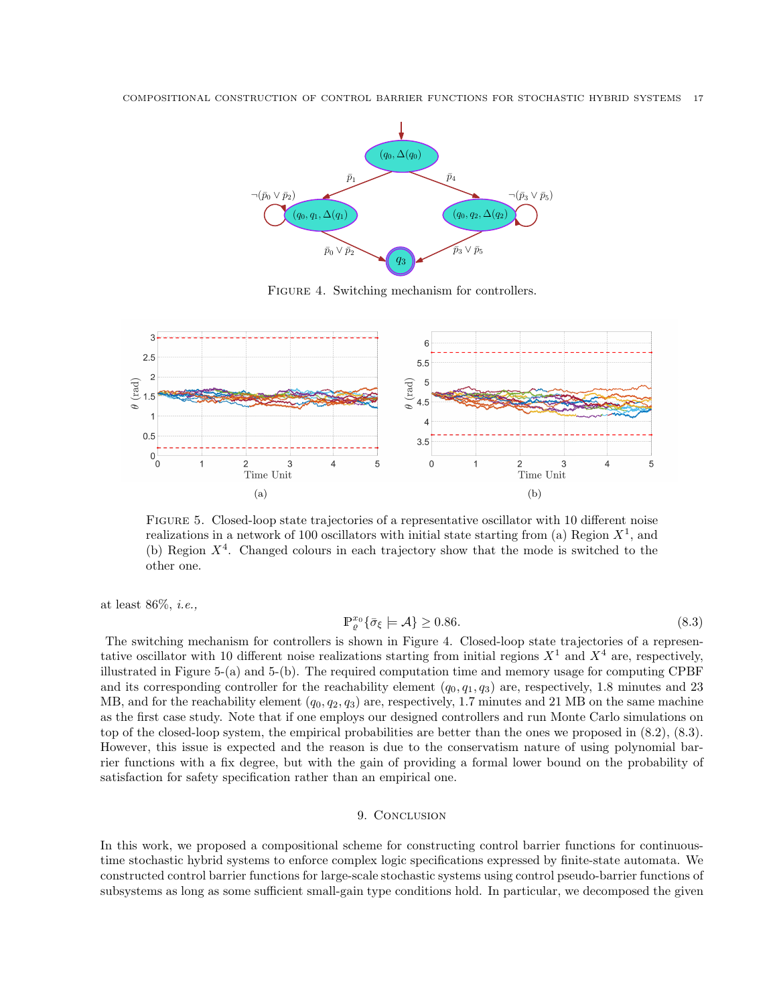

FIGURE 4. Switching mechanism for controllers.



Figure 5. Closed-loop state trajectories of a representative oscillator with 10 different noise realizations in a network of 100 oscillators with initial state starting from (a) Region  $X^1$ , and (b) Region  $X<sup>4</sup>$ . Changed colours in each trajectory show that the mode is switched to the other one.

at least 86%, i.e.,

$$
\mathbb{P}_{\varrho}^{x_0} \{ \bar{\sigma}_{\xi} \models \mathcal{A} \} \ge 0.86. \tag{8.3}
$$

The switching mechanism for controllers is shown in Figure 4. Closed-loop state trajectories of a representative oscillator with 10 different noise realizations starting from initial regions  $X<sup>1</sup>$  and  $X<sup>4</sup>$  are, respectively, illustrated in Figure 5-(a) and 5-(b). The required computation time and memory usage for computing CPBF and its corresponding controller for the reachability element  $(q_0, q_1, q_3)$  are, respectively, 1.8 minutes and 23 MB, and for the reachability element  $(q_0, q_2, q_3)$  are, respectively, 1.7 minutes and 21 MB on the same machine as the first case study. Note that if one employs our designed controllers and run Monte Carlo simulations on top of the closed-loop system, the empirical probabilities are better than the ones we proposed in (8.2), (8.3). However, this issue is expected and the reason is due to the conservatism nature of using polynomial barrier functions with a fix degree, but with the gain of providing a formal lower bound on the probability of satisfaction for safety specification rather than an empirical one.

## 9. CONCLUSION

In this work, we proposed a compositional scheme for constructing control barrier functions for continuoustime stochastic hybrid systems to enforce complex logic specifications expressed by finite-state automata. We constructed control barrier functions for large-scale stochastic systems using control pseudo-barrier functions of subsystems as long as some sufficient small-gain type conditions hold. In particular, we decomposed the given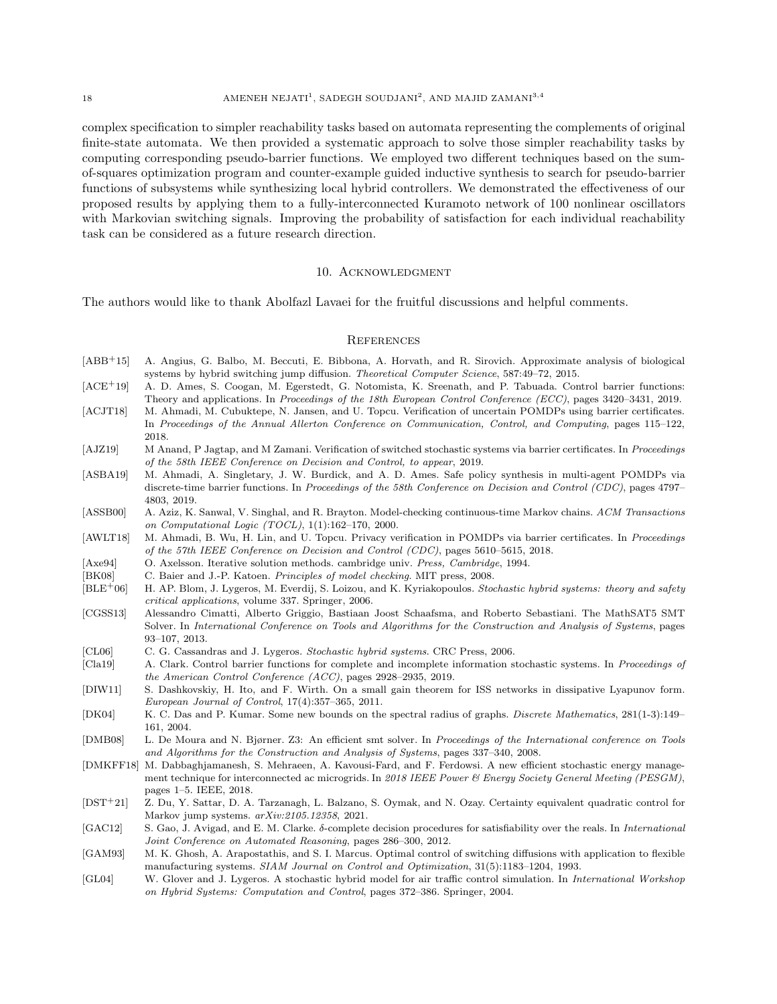#### 18 **AMENEH NEJATI<sup>1</sup>**, SADEGH SOUDJANI<sup>2</sup>, AND MAJID ZAMANI<sup>3,4</sup>

complex specification to simpler reachability tasks based on automata representing the complements of original finite-state automata. We then provided a systematic approach to solve those simpler reachability tasks by computing corresponding pseudo-barrier functions. We employed two different techniques based on the sumof-squares optimization program and counter-example guided inductive synthesis to search for pseudo-barrier functions of subsystems while synthesizing local hybrid controllers. We demonstrated the effectiveness of our proposed results by applying them to a fully-interconnected Kuramoto network of 100 nonlinear oscillators with Markovian switching signals. Improving the probability of satisfaction for each individual reachability task can be considered as a future research direction.

## 10. ACKNOWLEDGMENT

The authors would like to thank Abolfazl Lavaei for the fruitful discussions and helpful comments.

#### **REFERENCES**

- [ABB+15] A. Angius, G. Balbo, M. Beccuti, E. Bibbona, A. Horvath, and R. Sirovich. Approximate analysis of biological systems by hybrid switching jump diffusion. Theoretical Computer Science, 587:49–72, 2015.
- [ACE<sup>+</sup>19] A. D. Ames, S. Coogan, M. Egerstedt, G. Notomista, K. Sreenath, and P. Tabuada. Control barrier functions: Theory and applications. In Proceedings of the 18th European Control Conference (ECC), pages 3420–3431, 2019.
- [ACJT18] M. Ahmadi, M. Cubuktepe, N. Jansen, and U. Topcu. Verification of uncertain POMDPs using barrier certificates. In Proceedings of the Annual Allerton Conference on Communication, Control, and Computing, pages 115–122, 2018.
- [AJZ19] M Anand, P Jagtap, and M Zamani. Verification of switched stochastic systems via barrier certificates. In Proceedings of the 58th IEEE Conference on Decision and Control, to appear, 2019.
- [ASBA19] M. Ahmadi, A. Singletary, J. W. Burdick, and A. D. Ames. Safe policy synthesis in multi-agent POMDPs via discrete-time barrier functions. In Proceedings of the 58th Conference on Decision and Control (CDC), pages 4797– 4803, 2019.
- [ASSB00] A. Aziz, K. Sanwal, V. Singhal, and R. Brayton. Model-checking continuous-time Markov chains. ACM Transactions on Computational Logic (TOCL), 1(1):162–170, 2000.
- [AWLT18] M. Ahmadi, B. Wu, H. Lin, and U. Topcu. Privacy verification in POMDPs via barrier certificates. In Proceedings of the 57th IEEE Conference on Decision and Control (CDC), pages 5610–5615, 2018.
- [Axe94] O. Axelsson. Iterative solution methods. cambridge univ. Press, Cambridge, 1994.
- [BK08] C. Baier and J.-P. Katoen. *Principles of model checking*. MIT press, 2008.
- $[BLE^{+}06]$  H. AP. Blom, J. Lygeros, M. Everdij, S. Loizou, and K. Kyriakopoulos. Stochastic hybrid systems: theory and safety critical applications, volume 337. Springer, 2006.
- [CGSS13] Alessandro Cimatti, Alberto Griggio, Bastiaan Joost Schaafsma, and Roberto Sebastiani. The MathSAT5 SMT Solver. In International Conference on Tools and Algorithms for the Construction and Analysis of Systems, pages 93–107, 2013.
- [CL06] C. G. Cassandras and J. Lygeros. Stochastic hybrid systems. CRC Press, 2006.
- [Cla19] A. Clark. Control barrier functions for complete and incomplete information stochastic systems. In Proceedings of the American Control Conference (ACC), pages 2928–2935, 2019.
- [DIW11] S. Dashkovskiy, H. Ito, and F. Wirth. On a small gain theorem for ISS networks in dissipative Lyapunov form. European Journal of Control, 17(4):357–365, 2011.
- [DK04] K. C. Das and P. Kumar. Some new bounds on the spectral radius of graphs. Discrete Mathematics, 281(1-3):149– 161, 2004.
- [DMB08] L. De Moura and N. Bjørner. Z3: An efficient smt solver. In Proceedings of the International conference on Tools and Algorithms for the Construction and Analysis of Systems, pages 337–340, 2008.
- [DMKFF18] M. Dabbaghjamanesh, S. Mehraeen, A. Kavousi-Fard, and F. Ferdowsi. A new efficient stochastic energy management technique for interconnected ac microgrids. In 2018 IEEE Power & Energy Society General Meeting (PESGM), pages 1–5. IEEE, 2018.
- [DST+21] Z. Du, Y. Sattar, D. A. Tarzanagh, L. Balzano, S. Oymak, and N. Ozay. Certainty equivalent quadratic control for Markov jump systems. arXiv:2105.12358, 2021.
- [GAC12] S. Gao, J. Avigad, and E. M. Clarke. δ-complete decision procedures for satisfiability over the reals. In International Joint Conference on Automated Reasoning, pages 286–300, 2012.
- [GAM93] M. K. Ghosh, A. Arapostathis, and S. I. Marcus. Optimal control of switching diffusions with application to flexible manufacturing systems. SIAM Journal on Control and Optimization, 31(5):1183–1204, 1993.
- [GL04] W. Glover and J. Lygeros. A stochastic hybrid model for air traffic control simulation. In *International Workshop* on Hybrid Systems: Computation and Control, pages 372–386. Springer, 2004.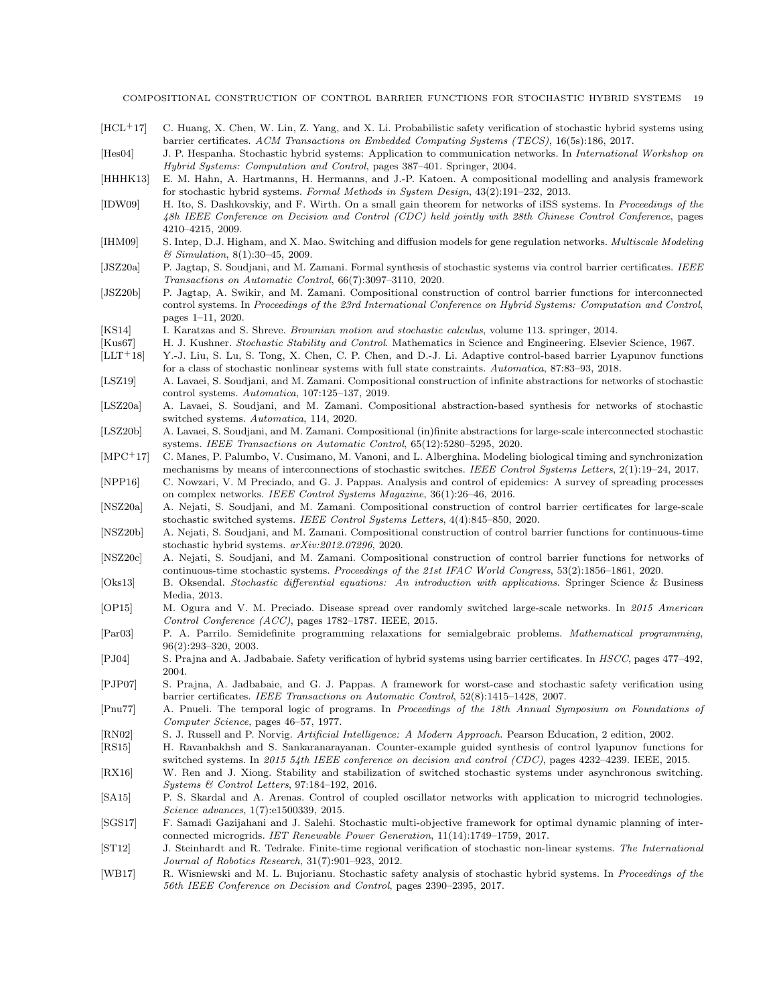COMPOSITIONAL CONSTRUCTION OF CONTROL BARRIER FUNCTIONS FOR STOCHASTIC HYBRID SYSTEMS 19

[HCL+17] C. Huang, X. Chen, W. Lin, Z. Yang, and X. Li. Probabilistic safety verification of stochastic hybrid systems using barrier certificates. ACM Transactions on Embedded Computing Systems (TECS), 16(5s):186, 2017.

[Hes04] J. P. Hespanha. Stochastic hybrid systems: Application to communication networks. In International Workshop on Hybrid Systems: Computation and Control, pages 387–401. Springer, 2004.

- [HHHK13] E. M. Hahn, A. Hartmanns, H. Hermanns, and J.-P. Katoen. A compositional modelling and analysis framework for stochastic hybrid systems. Formal Methods in System Design, 43(2):191–232, 2013.
- [IDW09] H. Ito, S. Dashkovskiy, and F. Wirth. On a small gain theorem for networks of iISS systems. In Proceedings of the 48h IEEE Conference on Decision and Control (CDC) held jointly with 28th Chinese Control Conference, pages 4210–4215, 2009.
- [IHM09] S. Intep, D.J. Higham, and X. Mao. Switching and diffusion models for gene regulation networks. Multiscale Modeling & Simulation, 8(1):30–45, 2009.
- [JSZ20a] P. Jagtap, S. Soudjani, and M. Zamani. Formal synthesis of stochastic systems via control barrier certificates. IEEE Transactions on Automatic Control, 66(7):3097–3110, 2020.
- [JSZ20b] P. Jagtap, A. Swikir, and M. Zamani. Compositional construction of control barrier functions for interconnected control systems. In Proceedings of the 23rd International Conference on Hybrid Systems: Computation and Control, pages 1–11, 2020.
- [KS14] I. Karatzas and S. Shreve. Brownian motion and stochastic calculus, volume 113. springer, 2014.
- [Kus67] H. J. Kushner. Stochastic Stability and Control. Mathematics in Science and Engineering. Elsevier Science, 1967.
- [LLT+18] Y.-J. Liu, S. Lu, S. Tong, X. Chen, C. P. Chen, and D.-J. Li. Adaptive control-based barrier Lyapunov functions for a class of stochastic nonlinear systems with full state constraints. Automatica, 87:83–93, 2018.
- [LSZ19] A. Lavaei, S. Soudjani, and M. Zamani. Compositional construction of infinite abstractions for networks of stochastic control systems. Automatica, 107:125–137, 2019.
- [LSZ20a] A. Lavaei, S. Soudjani, and M. Zamani. Compositional abstraction-based synthesis for networks of stochastic switched systems. Automatica, 114, 2020.
- [LSZ20b] A. Lavaei, S. Soudjani, and M. Zamani. Compositional (in)finite abstractions for large-scale interconnected stochastic systems. IEEE Transactions on Automatic Control, 65(12):5280–5295, 2020.
- [MPC+17] C. Manes, P. Palumbo, V. Cusimano, M. Vanoni, and L. Alberghina. Modeling biological timing and synchronization mechanisms by means of interconnections of stochastic switches. IEEE Control Systems Letters, 2(1):19–24, 2017.
- [NPP16] C. Nowzari, V. M Preciado, and G. J. Pappas. Analysis and control of epidemics: A survey of spreading processes on complex networks. IEEE Control Systems Magazine, 36(1):26–46, 2016.
- [NSZ20a] A. Nejati, S. Soudjani, and M. Zamani. Compositional construction of control barrier certificates for large-scale stochastic switched systems. IEEE Control Systems Letters, 4(4):845–850, 2020.
- [NSZ20b] A. Nejati, S. Soudjani, and M. Zamani. Compositional construction of control barrier functions for continuous-time stochastic hybrid systems. arXiv:2012.07296, 2020.
- [NSZ20c] A. Nejati, S. Soudjani, and M. Zamani. Compositional construction of control barrier functions for networks of continuous-time stochastic systems. Proceedings of the 21st IFAC World Congress, 53(2):1856–1861, 2020.
- [Oks13] B. Oksendal. Stochastic differential equations: An introduction with applications. Springer Science & Business Media, 2013.
- [OP15] M. Ogura and V. M. Preciado. Disease spread over randomly switched large-scale networks. In 2015 American Control Conference (ACC), pages 1782–1787. IEEE, 2015.
- [Par03] P. A. Parrilo. Semidefinite programming relaxations for semialgebraic problems. Mathematical programming, 96(2):293–320, 2003.
- [PJ04] S. Prajna and A. Jadbabaie. Safety verification of hybrid systems using barrier certificates. In HSCC, pages 477–492, 2004.
- [PJP07] S. Prajna, A. Jadbabaie, and G. J. Pappas. A framework for worst-case and stochastic safety verification using barrier certificates. IEEE Transactions on Automatic Control, 52(8):1415–1428, 2007.
- [Pnu77] A. Pnueli. The temporal logic of programs. In Proceedings of the 18th Annual Symposium on Foundations of Computer Science, pages 46–57, 1977.
- [RN02] S. J. Russell and P. Norvig. Artificial Intelligence: A Modern Approach. Pearson Education, 2 edition, 2002.
- [RS15] H. Ravanbakhsh and S. Sankaranarayanan. Counter-example guided synthesis of control lyapunov functions for switched systems. In 2015 54th IEEE conference on decision and control (CDC), pages 4232-4239. IEEE, 2015.
- [RX16] W. Ren and J. Xiong. Stability and stabilization of switched stochastic systems under asynchronous switching. Systems & Control Letters, 97:184–192, 2016.
- [SA15] P. S. Skardal and A. Arenas. Control of coupled oscillator networks with application to microgrid technologies. Science advances, 1(7):e1500339, 2015.
- [SGS17] F. Samadi Gazijahani and J. Salehi. Stochastic multi-objective framework for optimal dynamic planning of interconnected microgrids. IET Renewable Power Generation, 11(14):1749–1759, 2017.
- [ST12] J. Steinhardt and R. Tedrake. Finite-time regional verification of stochastic non-linear systems. The International Journal of Robotics Research, 31(7):901–923, 2012.
- [WB17] R. Wisniewski and M. L. Bujorianu. Stochastic safety analysis of stochastic hybrid systems. In Proceedings of the 56th IEEE Conference on Decision and Control, pages 2390–2395, 2017.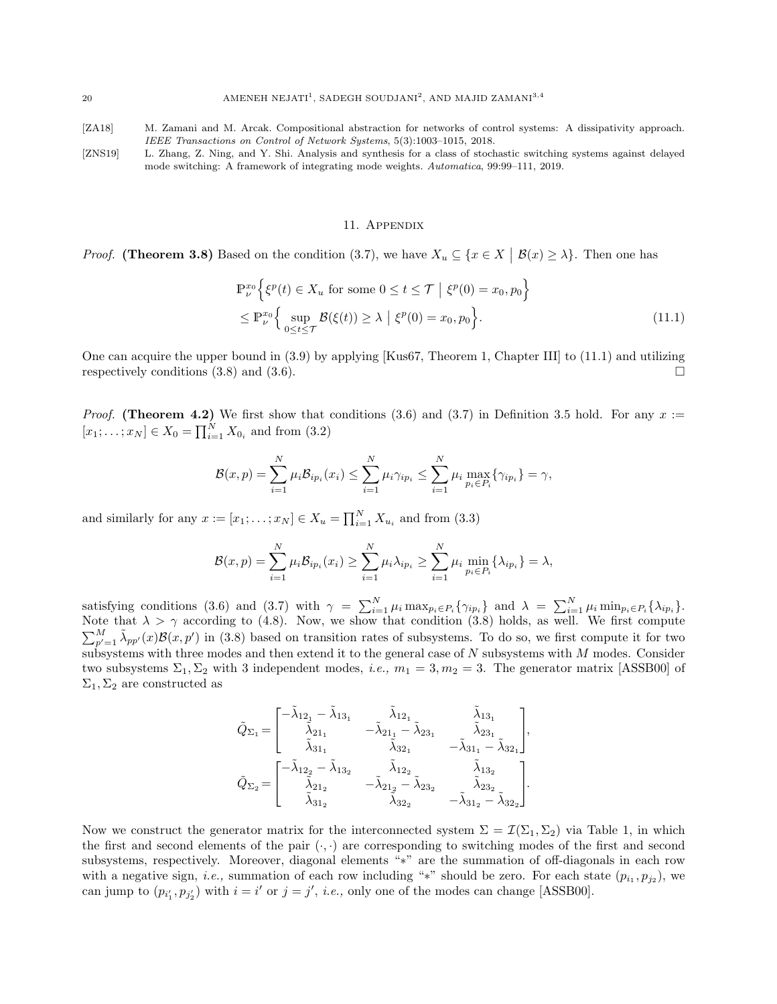[ZA18] M. Zamani and M. Arcak. Compositional abstraction for networks of control systems: A dissipativity approach. IEEE Transactions on Control of Network Systems, 5(3):1003–1015, 2018.

[ZNS19] L. Zhang, Z. Ning, and Y. Shi. Analysis and synthesis for a class of stochastic switching systems against delayed mode switching: A framework of integrating mode weights. Automatica, 99:99–111, 2019.

### 11. Appendix

*Proof.* (Theorem 3.8) Based on the condition (3.7), we have  $X_u \subseteq \{x \in X \mid \mathcal{B}(x) \geq \lambda\}$ . Then one has

$$
\mathbb{P}_{\nu}^{x_0} \Big\{ \xi^p(t) \in X_u \text{ for some } 0 \le t \le \mathcal{T} \mid \xi^p(0) = x_0, p_0 \Big\}
$$
  

$$
\le \mathbb{P}_{\nu}^{x_0} \Big\{ \sup_{0 \le t \le \mathcal{T}} \mathcal{B}(\xi(t)) \ge \lambda \mid \xi^p(0) = x_0, p_0 \Big\}. \tag{11.1}
$$

One can acquire the upper bound in (3.9) by applying [Kus67, Theorem 1, Chapter III] to (11.1) and utilizing respectively conditions (3.8) and (3.6).

*Proof.* (Theorem 4.2) We first show that conditions (3.6) and (3.7) in Definition 3.5 hold. For any  $x :=$  $[x_1; \ldots; x_N] \in X_0 = \prod_{i=1}^N X_{0_i}$  and from  $(3.2)$ 

$$
\mathcal{B}(x,p) = \sum_{i=1}^{N} \mu_i \mathcal{B}_{ip_i}(x_i) \le \sum_{i=1}^{N} \mu_i \gamma_{ip_i} \le \sum_{i=1}^{N} \mu_i \max_{p_i \in P_i} \{\gamma_{ip_i}\} = \gamma,
$$

and similarly for any  $x := [x_1; \dots; x_N] \in X_u = \prod_{i=1}^N X_{u_i}$  and from (3.3)

$$
\mathcal{B}(x,p) = \sum_{i=1}^{N} \mu_i \mathcal{B}_{ip_i}(x_i) \ge \sum_{i=1}^{N} \mu_i \lambda_{ip_i} \ge \sum_{i=1}^{N} \mu_i \min_{p_i \in P_i} \{\lambda_{ip_i}\} = \lambda,
$$

satisfying conditions (3.6) and (3.7) with  $\gamma = \sum_{i=1}^{N} \mu_i \max_{p_i \in P_i} {\gamma_{ip_i}}$  and  $\lambda = \sum_{i=1}^{N} \mu_i \min_{p_i \in P_i} {\lambda_{ip_i}}$ . Note that  $\lambda > \gamma$  according to (4.8). Now, we show that condition (3.8) holds, as well. We first compute  $\sum_{p'=1}^{M} \tilde{\lambda}_{pp'}(x) \mathcal{B}(x, p')$  in (3.8) based on transition rates of subsystems. To do so, we first compute it for two subsystems with three modes and then extend it to the general case of  $N$  subsystems with  $M$  modes. Consider two subsystems  $\Sigma_1$ ,  $\Sigma_2$  with 3 independent modes, *i.e.*,  $m_1 = 3, m_2 = 3$ . The generator matrix [ASSB00] of  $\Sigma_1, \Sigma_2$  are constructed as

$$
\begin{aligned} \tilde{Q}_{\Sigma_1} = & \begin{bmatrix} -\tilde{\lambda}_{12_1} - \tilde{\lambda}_{13_1} & \tilde{\lambda}_{12_1} & \tilde{\lambda}_{13_1} \\ \tilde{\lambda}_{21_1} & -\tilde{\lambda}_{21_1} - \tilde{\lambda}_{23_1} & \tilde{\lambda}_{23_1} \\ \tilde{\lambda}_{31_1} & \tilde{\lambda}_{32_1} & -\tilde{\lambda}_{31_1} - \tilde{\lambda}_{32_1} \end{bmatrix} , \\ \tilde{Q}_{\Sigma_2} = & \begin{bmatrix} -\tilde{\lambda}_{12_2} - \tilde{\lambda}_{13_2} & \tilde{\lambda}_{12_2} & \tilde{\lambda}_{13_2} \\ \tilde{\lambda}_{21_2} & -\tilde{\lambda}_{21_2} - \tilde{\lambda}_{23_2} & \tilde{\lambda}_{23_2} \\ \tilde{\lambda}_{31_2} & \tilde{\lambda}_{32_2} & -\tilde{\lambda}_{31_2} - \tilde{\lambda}_{32_2} \end{bmatrix} . \end{aligned}
$$

Now we construct the generator matrix for the interconnected system  $\Sigma = \mathcal{I}(\Sigma_1, \Sigma_2)$  via Table 1, in which the first and second elements of the pair  $(\cdot, \cdot)$  are corresponding to switching modes of the first and second subsystems, respectively. Moreover, diagonal elements "\*" are the summation of off-diagonals in each row with a negative sign, *i.e.*, summation of each row including "\*" should be zero. For each state  $(p_{i_1}, p_{j_2})$ , we can jump to  $(p_{i'_1}, p_{j'_2})$  with  $i = i'$  or  $j = j'$ , *i.e.*, only one of the modes can change [ASSB00].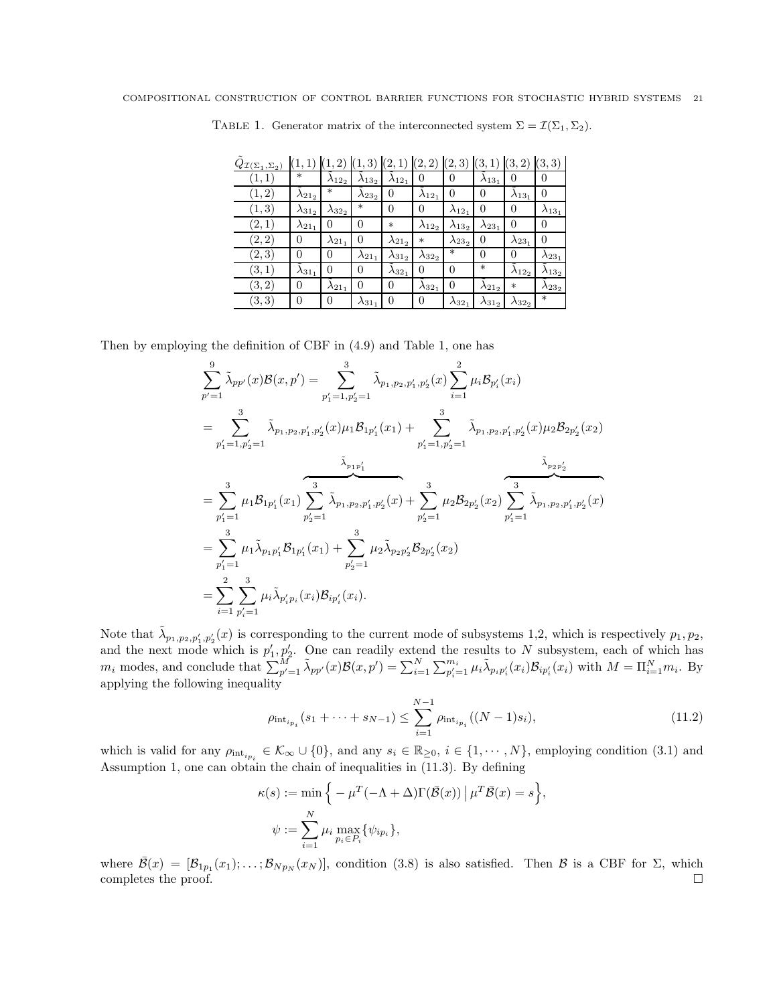| $Q_{\mathcal{I}(\Sigma_1,\Sigma_2)}$ |                  | (1, 2)           | 3)               | (2,1)            | (2, 2)           | (2, 3)           | (3, 1)           | (3, 2)           | (3, 3)           |
|--------------------------------------|------------------|------------------|------------------|------------------|------------------|------------------|------------------|------------------|------------------|
| (1,1)                                | $\ast$           | $\lambda_{12}$   | $\lambda_{13_2}$ | $\lambda_{12_1}$ | $\overline{0}$   | $\overline{0}$   | $\lambda_{13_1}$ | 0                | 0                |
| (1, 2)                               | $\lambda_{21_2}$ | $\ast$           | $\lambda_{23_2}$ | 0                | $\lambda_{12_1}$ | 0                | 0                | $\lambda_{13_1}$ | $\theta$         |
| (1, 3)                               | $\lambda_{31_2}$ | $\lambda_{32}$   | $\ast$           | $\theta$         | $\theta$         | $\lambda_{12}$   | $\theta$         | 0                | $\lambda_{13_1}$ |
| (2,1)                                | $\lambda_{21_1}$ | 0                | 0                | $\ast$           | $\lambda_{12}$   | $\lambda_{13_2}$ | $\lambda_{23_1}$ | 0                | 0                |
| (2,2)                                | 0                | $\lambda_{21_1}$ | 0                | $\lambda_{21_2}$ | $\ast$           | $\lambda_{23_2}$ | 0                | $\lambda_{23_1}$ | 0                |
| (2,3)                                | 0                | 0                | $\lambda_{21_1}$ | $\lambda_{31_2}$ | $\lambda_{32}$   | $\ast$           | $\Omega$         | 0                | $\lambda_{23_1}$ |
| (3,1)                                | $\lambda_{31_1}$ | $\theta$         | 0                | $\lambda_{32}$   | 0                | $\theta$         | $\ast$           | $\lambda_{12}$   | $\lambda_{13_2}$ |
| (3, 2)                               | 0                | $\lambda_{21_1}$ | 0                | $\overline{0}$   | $\lambda_{32_1}$ | $\theta$         | $\lambda_{21_2}$ | $\ast$           | $\lambda_{23_2}$ |
| (3,3)                                | 0                | 0                | $\lambda_{31_1}$ | $\theta$         | 0                | $\lambda_{32_1}$ | $\lambda_{31_2}$ | $\lambda_{32}$   | $\ast$           |

TABLE 1. Generator matrix of the interconnected system  $\Sigma = \mathcal{I}(\Sigma_1, \Sigma_2)$ .

Then by employing the definition of CBF in (4.9) and Table 1, one has

$$
\sum_{p'=1}^{9} \tilde{\lambda}_{pp'}(x) \mathcal{B}(x, p') = \sum_{p'_1=1, p'_2=1}^{3} \tilde{\lambda}_{p_1, p_2, p'_1, p'_2}(x) \sum_{i=1}^{2} \mu_i \mathcal{B}_{p'_i}(x_i)
$$
\n
$$
= \sum_{p'_1=1, p'_2=1}^{3} \tilde{\lambda}_{p_1, p_2, p'_1, p'_2}(x) \mu_1 \mathcal{B}_{1p'_1}(x_1) + \sum_{p'_1=1, p'_2=1}^{3} \tilde{\lambda}_{p_1, p_2, p'_1, p'_2}(x) \mu_2 \mathcal{B}_{2p'_2}(x_2)
$$
\n
$$
= \sum_{p'_1=1}^{3} \mu_1 \mathcal{B}_{1p'_1}(x_1) \sum_{p'_2=1}^{3} \tilde{\lambda}_{p_1, p_2, p'_1, p'_2}(x) + \sum_{p'_2=1}^{3} \mu_2 \mathcal{B}_{2p'_2}(x_2) \sum_{p'_1=1}^{3} \tilde{\lambda}_{p_1, p_2, p'_1, p'_2}(x)
$$
\n
$$
= \sum_{p'_1=1}^{3} \mu_1 \tilde{\lambda}_{p_1 p'_1} \mathcal{B}_{1p'_1}(x_1) + \sum_{p'_2=1}^{3} \mu_2 \tilde{\lambda}_{p_2 p'_2} \mathcal{B}_{2p'_2}(x_2)
$$
\n
$$
= \sum_{i=1}^{2} \sum_{p'_i=1}^{3} \mu_i \tilde{\lambda}_{p'_i p_i}(x_i) \mathcal{B}_{ip'_i}(x_i).
$$

Note that  $\tilde{\lambda}_{p_1,p_2,p'_1,p'_2}(x)$  is corresponding to the current mode of subsystems 1,2, which is respectively  $p_1, p_2$ , and the next mode which is  $p'_1, p'_2$ . One can readily extend the results to N subsystem, each of which has  $m_i$  modes, and conclude that  $\sum_{p'=1}^M \tilde{\lambda}_{pp'}(x) \mathcal{B}(x, p') = \sum_{i=1}^N \sum_{p'_i=1}^{m_i} \mu_i \tilde{\lambda}_{p_i p'_i}(x_i) \mathcal{B}_{ip'_i}(x_i)$  with  $M = \prod_{i=1}^N m_i$ . By applying the following inequality

$$
\rho_{\text{int}_{i_{p_i}}}(s_1 + \dots + s_{N-1}) \le \sum_{i=1}^{N-1} \rho_{\text{int}_{i_{p_i}}}((N-1)s_i), \tag{11.2}
$$

which is valid for any  $\rho_{\text{int}_{i_{p_i}}} \in \mathcal{K}_{\infty} \cup \{0\}$ , and any  $s_i \in \mathbb{R}_{\geq 0}$ ,  $i \in \{1, \cdots, N\}$ , employing condition (3.1) and Assumption 1, one can obtain the chain of inequalities in (11.3). By defining

$$
\kappa(s) := \min \Big\{ -\mu^T(-\Lambda + \Delta) \Gamma(\bar{\mathcal{B}}(x)) \, \big| \, \mu^T \bar{\mathcal{B}}(x) = s \Big\},
$$
  

$$
\psi := \sum_{i=1}^N \mu_i \max_{p_i \in P_i} \{ \psi_{ip_i} \},
$$

where  $\bar{\mathcal{B}}(x) = [\mathcal{B}_{1p_1}(x_1); \ldots; \mathcal{B}_{Np_N}(x_N)]$ , condition (3.8) is also satisfied. Then  $\mathcal{B}$  is a CBF for  $\Sigma$ , which completes the proof.  $\Box$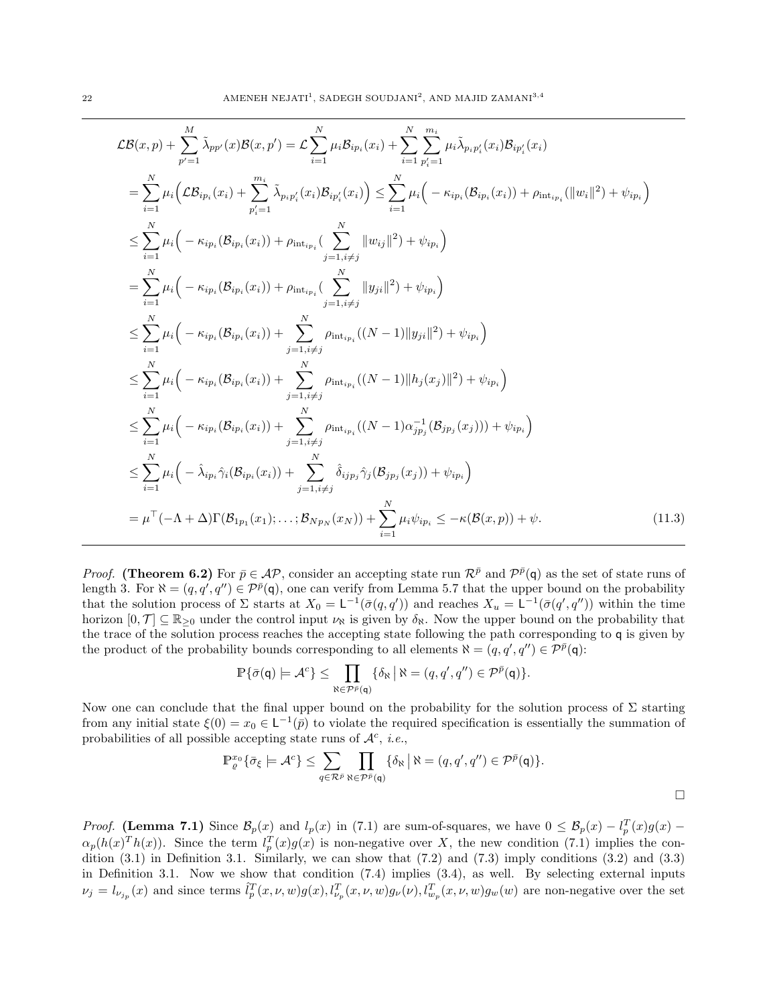$$
\mathcal{LB}(x,p) + \sum_{p'=1}^{M} \tilde{\lambda}_{pp'}(x) \mathcal{B}(x,p') = \mathcal{L} \sum_{i=1}^{N} \mu_{i} \mathcal{B}_{ip_{i}}(x_{i}) + \sum_{i=1}^{N} \sum_{p'_{i}=1}^{m_{i}} \mu_{i} \tilde{\lambda}_{p_{i}p'_{i}}(x_{i}) \mathcal{B}_{ip'_{i}}(x_{i})
$$
\n
$$
= \sum_{i=1}^{N} \mu_{i} \Big( \mathcal{LB}_{ip_{i}}(x_{i}) + \sum_{p'_{i}=1}^{m_{i}} \tilde{\lambda}_{p_{i}p'_{i}}(x_{i}) \mathcal{B}_{ip'_{i}}(x_{i}) \Big) \leq \sum_{i=1}^{N} \mu_{i} \Big( -\kappa_{ip_{i}}(\mathcal{B}_{ip_{i}}(x_{i})) + \rho_{\text{int}_{ip_{i}}}(\|\boldsymbol{w}_{i}\|^{2}) + \psi_{ip_{i}} \Big)
$$
\n
$$
\leq \sum_{i=1}^{N} \mu_{i} \Big( -\kappa_{ip_{i}}(\mathcal{B}_{ip_{i}}(x_{i})) + \rho_{\text{int}_{ip_{i}}}(\sum_{j=1, i \neq j}^{N} \|\boldsymbol{w}_{ij}\|^{2}) + \psi_{ip_{i}} \Big)
$$
\n
$$
= \sum_{i=1}^{N} \mu_{i} \Big( -\kappa_{ip_{i}}(\mathcal{B}_{ip_{i}}(x_{i})) + \rho_{\text{int}_{ip_{i}}}(\sum_{j=1, i \neq j}^{N} \|\boldsymbol{w}_{ji}\|^{2}) + \psi_{ip_{i}} \Big)
$$
\n
$$
\leq \sum_{i=1}^{N} \mu_{i} \Big( -\kappa_{ip_{i}}(\mathcal{B}_{ip_{i}}(x_{i})) + \sum_{j=1, i \neq j}^{N} \rho_{\text{int}_{ip_{i}}}((N-1)\|\boldsymbol{y}_{ji}\|^{2}) + \psi_{ip_{i}} \Big)
$$
\n
$$
\leq \sum_{i=1}^{N} \mu_{i} \Big( -\kappa_{ip_{i}}(\mathcal{B}_{ip_{i}}(x_{i})) + \sum_{j=1, i \neq j}^{N} \rho_{\text{int}_{ip_{i}}}((N-1)\|\boldsymbol{h}_{j}(x_{j})\|^{2}) + \psi_{ip_{i}} \Big
$$

*Proof.* (Theorem 6.2) For  $\bar{p} \in \mathcal{AP}$ , consider an accepting state run  $\mathcal{R}^{\bar{p}}$  and  $\mathcal{P}^{\bar{p}}(q)$  as the set of state runs of length 3. For  $\aleph = (q, q', q'') \in \mathcal{P}^{\bar{p}}(q)$ , one can verify from Lemma 5.7 that the upper bound on the probability that the solution process of  $\Sigma$  starts at  $X_0 = \mathsf{L}^{-1}(\bar{\sigma}(q, q'))$  and reaches  $X_u = \mathsf{L}^{-1}(\bar{\sigma}(q', q''))$  within the time horizon  $[0, \mathcal{T}] \subseteq \mathbb{R}_{\geq 0}$  under the control input  $\nu_{\aleph}$  is given by  $\delta_{\aleph}$ . Now the upper bound on the probability that the trace of the solution process reaches the accepting state following the path corresponding to q is given by the product of the probability bounds corresponding to all elements  $\aleph = (q, q', q'') \in \mathcal{P}^{\bar{p}}(\mathsf{q})$ :

$$
\mathbb{P}\{\bar{\sigma}(q) \models \mathcal{A}^c\} \leq \prod_{\aleph \in \mathcal{P}^{\bar{p}}(q)} \{\delta_{\aleph} \, \big| \, \aleph = (q, q', q'') \in \mathcal{P}^{\bar{p}}(q)\}.
$$

Now one can conclude that the final upper bound on the probability for the solution process of  $\Sigma$  starting from any initial state  $\xi(0) = x_0 \in \mathsf{L}^{-1}(\bar{p})$  to violate the required specification is essentially the summation of probabilities of all possible accepting state runs of  $\mathcal{A}^c$ , *i.e.*,

$$
\mathbb{P}_{\varrho}^{x_0} \{ \bar{\sigma}_{\xi} \models \mathcal{A}^c \} \leq \sum_{q \in \mathcal{R}^{\bar{p}}} \prod_{\aleph \in \mathcal{P}^{\bar{p}}(\mathsf{q})} \{ \delta_{\aleph} \mid \aleph = (q, q', q'') \in \mathcal{P}^{\bar{p}}(\mathsf{q}) \}.
$$

*Proof.* (Lemma 7.1) Since  $\mathcal{B}_p(x)$  and  $l_p(x)$  in (7.1) are sum-of-squares, we have  $0 \leq \mathcal{B}_p(x) - l_p^T(x)g(x)$  –  $\alpha_p(h(x)^T h(x))$ . Since the term  $l_p^T(x)g(x)$  is non-negative over X, the new condition (7.1) implies the condition  $(3.1)$  in Definition 3.1. Similarly, we can show that  $(7.2)$  and  $(7.3)$  imply conditions  $(3.2)$  and  $(3.3)$ in Definition 3.1. Now we show that condition (7.4) implies (3.4), as well. By selecting external inputs  $\nu_j = l_{\nu_{j_p}}(x)$  and since terms  $\hat{l}_p^T(x,\nu,w)g(x), l_{\nu_p}^T(x,\nu,w)g_{\nu}(\nu), l_{w_p}^T(x,\nu,w)g_w(\nu)$  are non-negative over the set